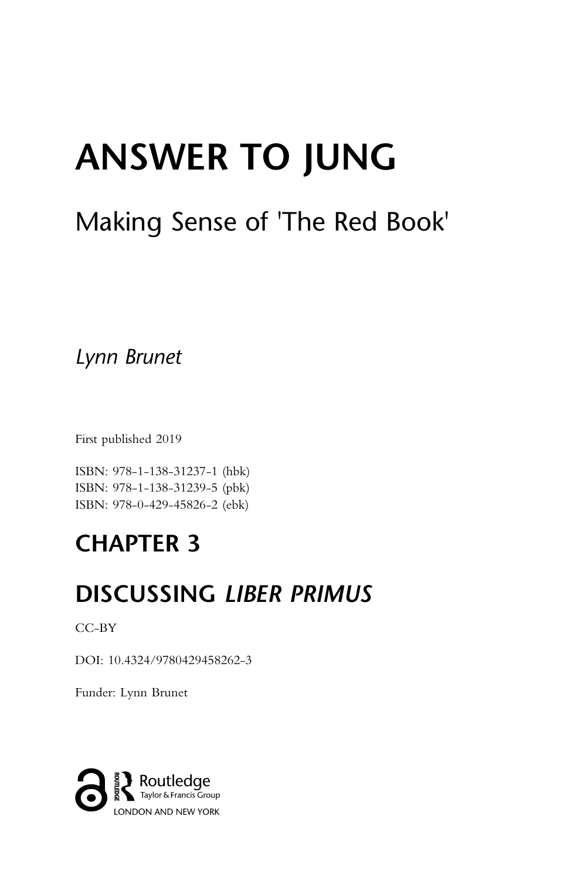# ANSWER TO JUNG

# Making Sense of 'The Red Book'

Lynn Brunet

First published 2019

ISBN: 978-1-138-31237-1 (hbk) ISBN: 978-1-138-31239-5 (pbk) ISBN: 978-0-429-45826-2 (ebk)

# CHAPTER 3

# DISCUSSING LIBER PRIMUS

CC-BY

DOI: 10.4324/9780429458262-3

Funder: Lynn Brunet

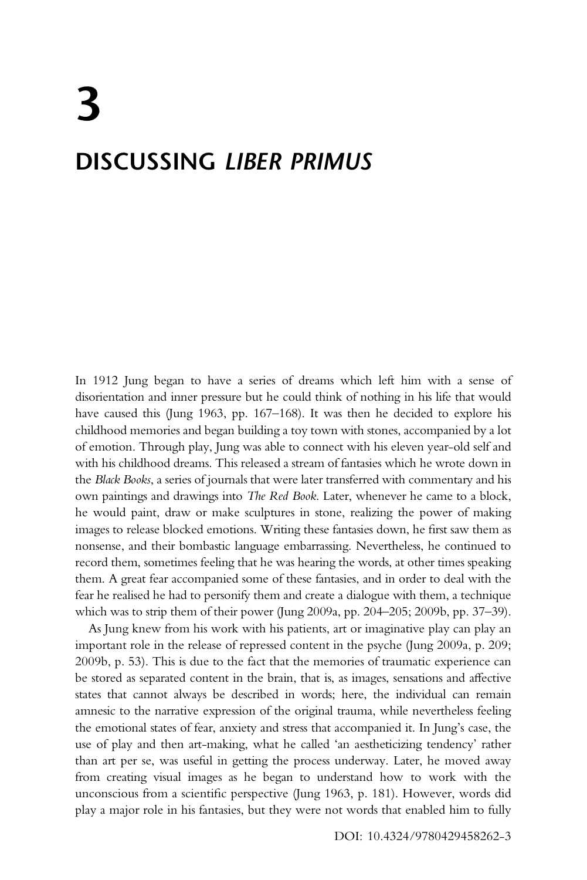# 3 DISCUSSING LIBER PRIMUS

In 1912 Jung began to have a series of dreams which left him with a sense of disorientation and inner pressure but he could think of nothing in his life that would have caused this (Jung 1963, pp. 167–168). It was then he decided to explore his childhood memories and began building a toy town with stones, accompanied by a lot of emotion. Through play, Jung was able to connect with his eleven year-old self and with his childhood dreams. This released a stream of fantasies which he wrote down in the Black Books, a series of journals that were later transferred with commentary and his own paintings and drawings into The Red Book. Later, whenever he came to a block, he would paint, draw or make sculptures in stone, realizing the power of making images to release blocked emotions. Writing these fantasies down, he first saw them as nonsense, and their bombastic language embarrassing. Nevertheless, he continued to record them, sometimes feeling that he was hearing the words, at other times speaking them. A great fear accompanied some of these fantasies, and in order to deal with the fear he realised he had to personify them and create a dialogue with them, a technique which was to strip them of their power (Jung 2009a, pp. 204–205; 2009b, pp. 37–39).

As Jung knew from his work with his patients, art or imaginative play can play an important role in the release of repressed content in the psyche (Jung 2009a, p. 209; 2009b, p. 53). This is due to the fact that the memories of traumatic experience can be stored as separated content in the brain, that is, as images, sensations and affective states that cannot always be described in words; here, the individual can remain amnesic to the narrative expression of the original trauma, while nevertheless feeling the emotional states of fear, anxiety and stress that accompanied it. In Jung's case, the use of play and then art-making, what he called 'an aestheticizing tendency' rather than art per se, was useful in getting the process underway. Later, he moved away from creating visual images as he began to understand how to work with the unconscious from a scientific perspective (Jung 1963, p. 181). However, words did play a major role in his fantasies, but they were not words that enabled him to fully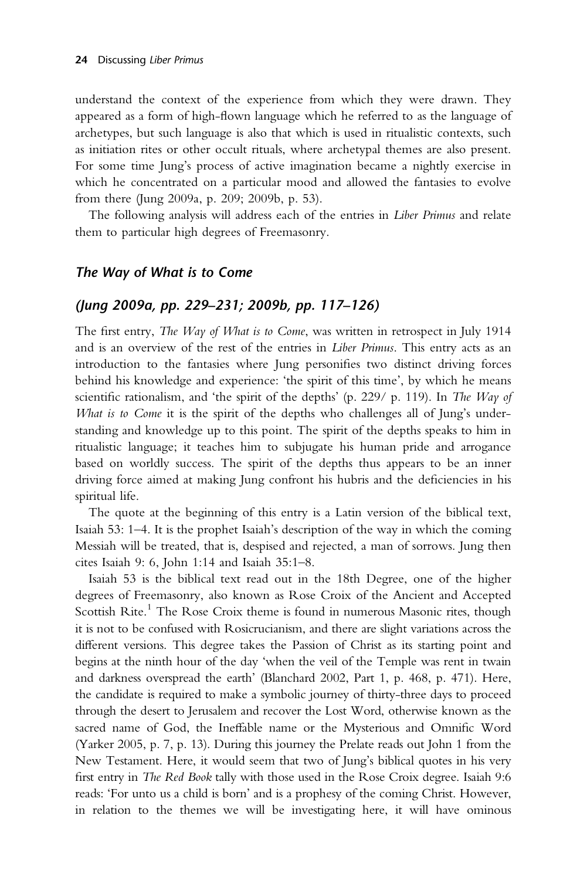understand the context of the experience from which they were drawn. They appeared as a form of high-flown language which he referred to as the language of archetypes, but such language is also that which is used in ritualistic contexts, such as initiation rites or other occult rituals, where archetypal themes are also present. For some time Jung's process of active imagination became a nightly exercise in which he concentrated on a particular mood and allowed the fantasies to evolve from there (Jung 2009a, p. 209; 2009b, p. 53).

The following analysis will address each of the entries in Liber Primus and relate them to particular high degrees of Freemasonry.

#### The Way of What is to Come

#### (Jung 2009a, pp. 229–231; 2009b, pp. 117–126)

The first entry, The Way of What is to Come, was written in retrospect in July 1914 and is an overview of the rest of the entries in Liber Primus. This entry acts as an introduction to the fantasies where Jung personifies two distinct driving forces behind his knowledge and experience: 'the spirit of this time', by which he means scientific rationalism, and 'the spirit of the depths' (p. 229/ p. 119). In The Way of What is to Come it is the spirit of the depths who challenges all of Jung's understanding and knowledge up to this point. The spirit of the depths speaks to him in ritualistic language; it teaches him to subjugate his human pride and arrogance based on worldly success. The spirit of the depths thus appears to be an inner driving force aimed at making Jung confront his hubris and the deficiencies in his spiritual life.

The quote at the beginning of this entry is a Latin version of the biblical text, Isaiah 53: 1–4. It is the prophet Isaiah's description of the way in which the coming Messiah will be treated, that is, despised and rejected, a man of sorrows. Jung then cites Isaiah 9: 6, John 1:14 and Isaiah 35:1–8.

Isaiah 53 is the biblical text read out in the 18th Degree, one of the higher degrees of Freemasonry, also known as Rose Croix of the Ancient and Accepted Scottish Rite.<sup>1</sup> The Rose Croix theme is found in numerous Masonic rites, though it is not to be confused with Rosicrucianism, and there are slight variations across the different versions. This degree takes the Passion of Christ as its starting point and begins at the ninth hour of the day 'when the veil of the Temple was rent in twain and darkness overspread the earth' (Blanchard 2002, Part 1, p. 468, p. 471). Here, the candidate is required to make a symbolic journey of thirty-three days to proceed through the desert to Jerusalem and recover the Lost Word, otherwise known as the sacred name of God, the Ineffable name or the Mysterious and Omnific Word (Yarker 2005, p. 7, p. 13). During this journey the Prelate reads out John 1 from the New Testament. Here, it would seem that two of Jung's biblical quotes in his very first entry in The Red Book tally with those used in the Rose Croix degree. Isaiah 9:6 reads: 'For unto us a child is born' and is a prophesy of the coming Christ. However, in relation to the themes we will be investigating here, it will have ominous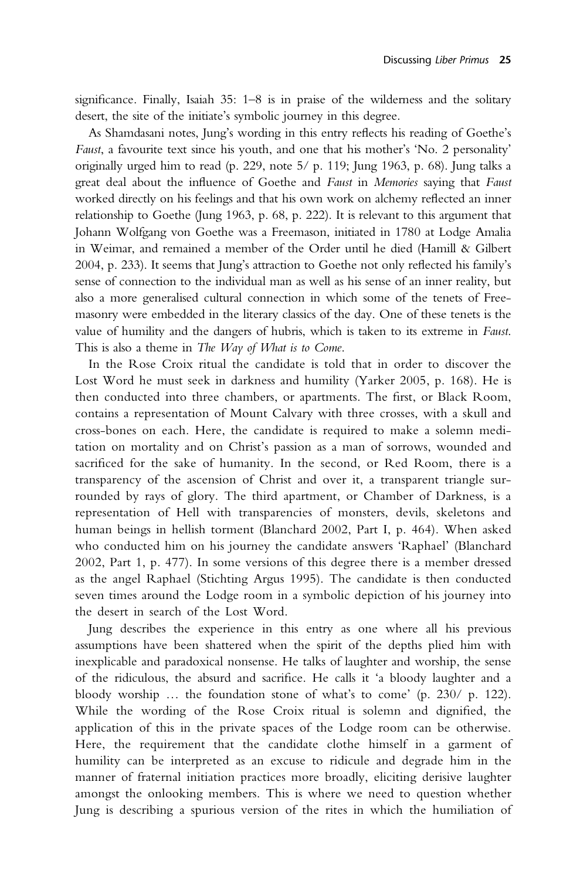significance. Finally, Isaiah 35: 1–8 is in praise of the wilderness and the solitary desert, the site of the initiate's symbolic journey in this degree.

As Shamdasani notes, Jung's wording in this entry reflects his reading of Goethe's Faust, a favourite text since his youth, and one that his mother's 'No. 2 personality' originally urged him to read (p. 229, note 5/ p. 119; Jung 1963, p. 68). Jung talks a great deal about the influence of Goethe and Faust in Memories saying that Faust worked directly on his feelings and that his own work on alchemy reflected an inner relationship to Goethe (Jung 1963, p. 68, p. 222). It is relevant to this argument that Johann Wolfgang von Goethe was a Freemason, initiated in 1780 at Lodge Amalia in Weimar, and remained a member of the Order until he died (Hamill & Gilbert 2004, p. 233). It seems that Jung's attraction to Goethe not only reflected his family's sense of connection to the individual man as well as his sense of an inner reality, but also a more generalised cultural connection in which some of the tenets of Freemasonry were embedded in the literary classics of the day. One of these tenets is the value of humility and the dangers of hubris, which is taken to its extreme in Faust. This is also a theme in The Way of What is to Come.

In the Rose Croix ritual the candidate is told that in order to discover the Lost Word he must seek in darkness and humility (Yarker 2005, p. 168). He is then conducted into three chambers, or apartments. The first, or Black Room, contains a representation of Mount Calvary with three crosses, with a skull and cross-bones on each. Here, the candidate is required to make a solemn meditation on mortality and on Christ's passion as a man of sorrows, wounded and sacrificed for the sake of humanity. In the second, or Red Room, there is a transparency of the ascension of Christ and over it, a transparent triangle surrounded by rays of glory. The third apartment, or Chamber of Darkness, is a representation of Hell with transparencies of monsters, devils, skeletons and human beings in hellish torment (Blanchard 2002, Part I, p. 464). When asked who conducted him on his journey the candidate answers 'Raphael' (Blanchard 2002, Part 1, p. 477). In some versions of this degree there is a member dressed as the angel Raphael (Stichting Argus 1995). The candidate is then conducted seven times around the Lodge room in a symbolic depiction of his journey into the desert in search of the Lost Word.

Jung describes the experience in this entry as one where all his previous assumptions have been shattered when the spirit of the depths plied him with inexplicable and paradoxical nonsense. He talks of laughter and worship, the sense of the ridiculous, the absurd and sacrifice. He calls it 'a bloody laughter and a bloody worship … the foundation stone of what's to come' (p. 230/ p. 122). While the wording of the Rose Croix ritual is solemn and dignified, the application of this in the private spaces of the Lodge room can be otherwise. Here, the requirement that the candidate clothe himself in a garment of humility can be interpreted as an excuse to ridicule and degrade him in the manner of fraternal initiation practices more broadly, eliciting derisive laughter amongst the onlooking members. This is where we need to question whether Jung is describing a spurious version of the rites in which the humiliation of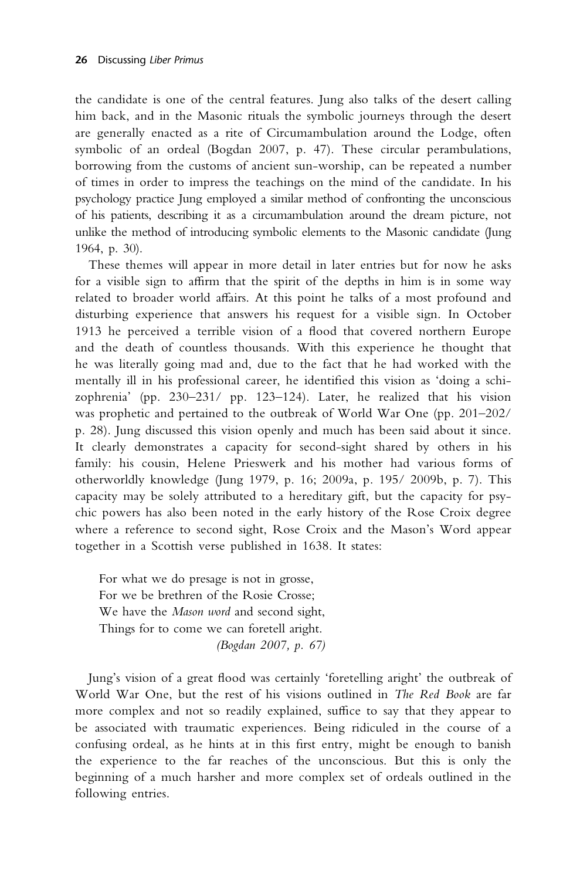the candidate is one of the central features. Jung also talks of the desert calling him back, and in the Masonic rituals the symbolic journeys through the desert are generally enacted as a rite of Circumambulation around the Lodge, often symbolic of an ordeal (Bogdan 2007, p. 47). These circular perambulations, borrowing from the customs of ancient sun-worship, can be repeated a number of times in order to impress the teachings on the mind of the candidate. In his psychology practice Jung employed a similar method of confronting the unconscious of his patients, describing it as a circumambulation around the dream picture, not unlike the method of introducing symbolic elements to the Masonic candidate (Jung 1964, p. 30).

These themes will appear in more detail in later entries but for now he asks for a visible sign to affirm that the spirit of the depths in him is in some way related to broader world affairs. At this point he talks of a most profound and disturbing experience that answers his request for a visible sign. In October 1913 he perceived a terrible vision of a flood that covered northern Europe and the death of countless thousands. With this experience he thought that he was literally going mad and, due to the fact that he had worked with the mentally ill in his professional career, he identified this vision as 'doing a schizophrenia' (pp. 230–231/ pp. 123–124). Later, he realized that his vision was prophetic and pertained to the outbreak of World War One (pp. 201–202/ p. 28). Jung discussed this vision openly and much has been said about it since. It clearly demonstrates a capacity for second-sight shared by others in his family: his cousin, Helene Prieswerk and his mother had various forms of otherworldly knowledge (Jung 1979, p. 16; 2009a, p. 195/ 2009b, p. 7). This capacity may be solely attributed to a hereditary gift, but the capacity for psychic powers has also been noted in the early history of the Rose Croix degree where a reference to second sight, Rose Croix and the Mason's Word appear together in a Scottish verse published in 1638. It states:

For what we do presage is not in grosse, For we be brethren of the Rosie Crosse; We have the *Mason word* and second sight, Things for to come we can foretell aright. (Bogdan 2007, p. 67)

Jung's vision of a great flood was certainly 'foretelling aright' the outbreak of World War One, but the rest of his visions outlined in The Red Book are far more complex and not so readily explained, suffice to say that they appear to be associated with traumatic experiences. Being ridiculed in the course of a confusing ordeal, as he hints at in this first entry, might be enough to banish the experience to the far reaches of the unconscious. But this is only the beginning of a much harsher and more complex set of ordeals outlined in the following entries.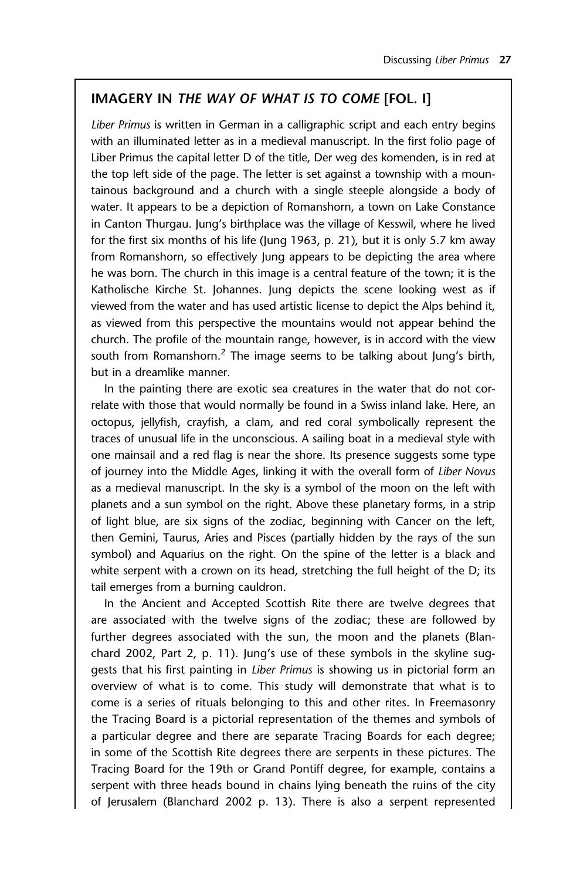## IMAGERY IN THE WAY OF WHAT IS TO COME [FOL. I]

Liber Primus is written in German in a calligraphic script and each entry begins with an illuminated letter as in a medieval manuscript. In the first folio page of Liber Primus the capital letter D of the title, Der weg des komenden, is in red at the top left side of the page. The letter is set against a township with a mountainous background and a church with a single steeple alongside a body of water. It appears to be a depiction of Romanshorn, a town on Lake Constance in Canton Thurgau. Jung's birthplace was the village of Kesswil, where he lived for the first six months of his life (Jung 1963, p. 21), but it is only 5.7 km away from Romanshorn, so effectively Jung appears to be depicting the area where he was born. The church in this image is a central feature of the town; it is the Katholische Kirche St. Johannes. Jung depicts the scene looking west as if viewed from the water and has used artistic license to depict the Alps behind it, as viewed from this perspective the mountains would not appear behind the church. The profile of the mountain range, however, is in accord with the view south from Romanshorn.<sup>2</sup> The image seems to be talking about Jung's birth, but in a dreamlike manner.

In the painting there are exotic sea creatures in the water that do not correlate with those that would normally be found in a Swiss inland lake. Here, an octopus, jellyfish, crayfish, a clam, and red coral symbolically represent the traces of unusual life in the unconscious. A sailing boat in a medieval style with one mainsail and a red flag is near the shore. Its presence suggests some type of journey into the Middle Ages, linking it with the overall form of Liber Novus as a medieval manuscript. In the sky is a symbol of the moon on the left with planets and a sun symbol on the right. Above these planetary forms, in a strip of light blue, are six signs of the zodiac, beginning with Cancer on the left, then Gemini, Taurus, Aries and Pisces (partially hidden by the rays of the sun symbol) and Aquarius on the right. On the spine of the letter is a black and white serpent with a crown on its head, stretching the full height of the D; its tail emerges from a burning cauldron.

In the Ancient and Accepted Scottish Rite there are twelve degrees that are associated with the twelve signs of the zodiac; these are followed by further degrees associated with the sun, the moon and the planets (Blanchard 2002, Part 2, p. 11). Jung's use of these symbols in the skyline suggests that his first painting in Liber Primus is showing us in pictorial form an overview of what is to come. This study will demonstrate that what is to come is a series of rituals belonging to this and other rites. In Freemasonry the Tracing Board is a pictorial representation of the themes and symbols of a particular degree and there are separate Tracing Boards for each degree; in some of the Scottish Rite degrees there are serpents in these pictures. The Tracing Board for the 19th or Grand Pontiff degree, for example, contains a serpent with three heads bound in chains lying beneath the ruins of the city of Jerusalem (Blanchard 2002 p. 13). There is also a serpent represented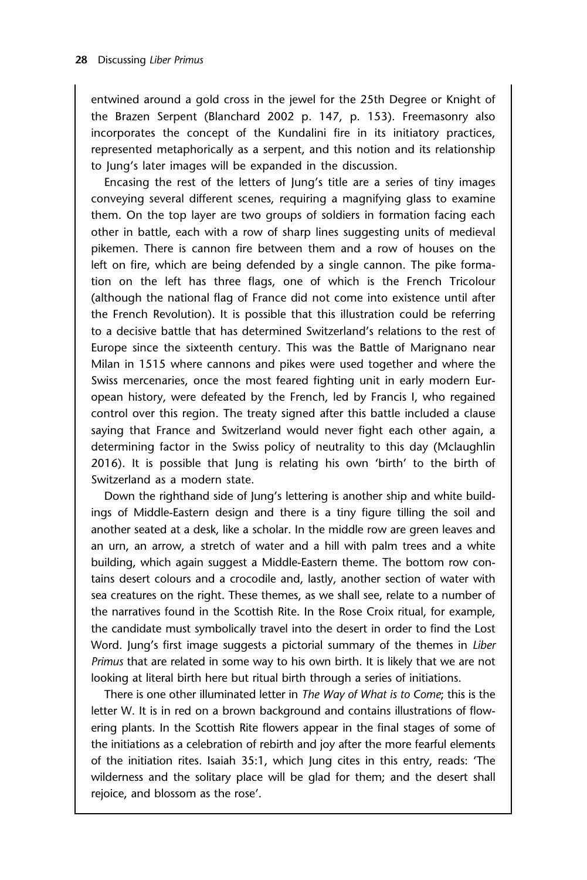entwined around a gold cross in the jewel for the 25th Degree or Knight of the Brazen Serpent (Blanchard 2002 p. 147, p. 153). Freemasonry also incorporates the concept of the Kundalini fire in its initiatory practices, represented metaphorically as a serpent, and this notion and its relationship to Jung's later images will be expanded in the discussion.

Encasing the rest of the letters of Jung's title are a series of tiny images conveying several different scenes, requiring a magnifying glass to examine them. On the top layer are two groups of soldiers in formation facing each other in battle, each with a row of sharp lines suggesting units of medieval pikemen. There is cannon fire between them and a row of houses on the left on fire, which are being defended by a single cannon. The pike formation on the left has three flags, one of which is the French Tricolour (although the national flag of France did not come into existence until after the French Revolution). It is possible that this illustration could be referring to a decisive battle that has determined Switzerland's relations to the rest of Europe since the sixteenth century. This was the Battle of Marignano near Milan in 1515 where cannons and pikes were used together and where the Swiss mercenaries, once the most feared fighting unit in early modern European history, were defeated by the French, led by Francis I, who regained control over this region. The treaty signed after this battle included a clause saying that France and Switzerland would never fight each other again, a determining factor in the Swiss policy of neutrality to this day (Mclaughlin 2016). It is possible that Jung is relating his own 'birth' to the birth of Switzerland as a modern state.

Down the righthand side of Jung's lettering is another ship and white buildings of Middle-Eastern design and there is a tiny figure tilling the soil and another seated at a desk, like a scholar. In the middle row are green leaves and an urn, an arrow, a stretch of water and a hill with palm trees and a white building, which again suggest a Middle-Eastern theme. The bottom row contains desert colours and a crocodile and, lastly, another section of water with sea creatures on the right. These themes, as we shall see, relate to a number of the narratives found in the Scottish Rite. In the Rose Croix ritual, for example, the candidate must symbolically travel into the desert in order to find the Lost Word. Jung's first image suggests a pictorial summary of the themes in Liber Primus that are related in some way to his own birth. It is likely that we are not looking at literal birth here but ritual birth through a series of initiations.

There is one other illuminated letter in The Way of What is to Come; this is the letter W. It is in red on a brown background and contains illustrations of flowering plants. In the Scottish Rite flowers appear in the final stages of some of the initiations as a celebration of rebirth and joy after the more fearful elements of the initiation rites. Isaiah 35:1, which Jung cites in this entry, reads: 'The wilderness and the solitary place will be glad for them; and the desert shall rejoice, and blossom as the rose'.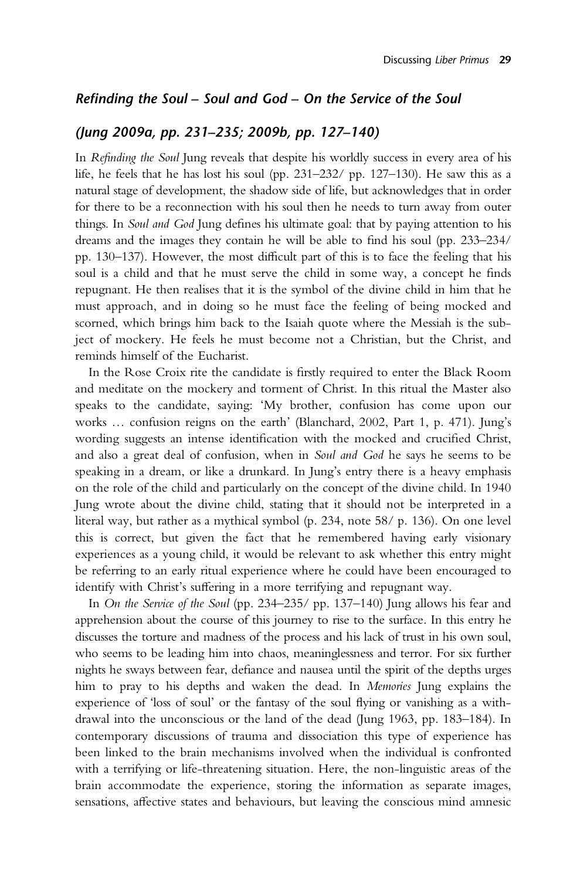#### Refinding the Soul – Soul and God – On the Service of the Soul

#### (Jung 2009a, pp. 231–235; 2009b, pp. 127–140)

In Refinding the Soul Jung reveals that despite his worldly success in every area of his life, he feels that he has lost his soul (pp. 231–232/ pp. 127–130). He saw this as a natural stage of development, the shadow side of life, but acknowledges that in order for there to be a reconnection with his soul then he needs to turn away from outer things. In Soul and God Jung defines his ultimate goal: that by paying attention to his dreams and the images they contain he will be able to find his soul (pp. 233–234/ pp. 130–137). However, the most difficult part of this is to face the feeling that his soul is a child and that he must serve the child in some way, a concept he finds repugnant. He then realises that it is the symbol of the divine child in him that he must approach, and in doing so he must face the feeling of being mocked and scorned, which brings him back to the Isaiah quote where the Messiah is the subject of mockery. He feels he must become not a Christian, but the Christ, and reminds himself of the Eucharist.

In the Rose Croix rite the candidate is firstly required to enter the Black Room and meditate on the mockery and torment of Christ. In this ritual the Master also speaks to the candidate, saying: 'My brother, confusion has come upon our works … confusion reigns on the earth' (Blanchard, 2002, Part 1, p. 471). Jung's wording suggests an intense identification with the mocked and crucified Christ, and also a great deal of confusion, when in Soul and God he says he seems to be speaking in a dream, or like a drunkard. In Jung's entry there is a heavy emphasis on the role of the child and particularly on the concept of the divine child. In 1940 Jung wrote about the divine child, stating that it should not be interpreted in a literal way, but rather as a mythical symbol (p. 234, note 58/ p. 136). On one level this is correct, but given the fact that he remembered having early visionary experiences as a young child, it would be relevant to ask whether this entry might be referring to an early ritual experience where he could have been encouraged to identify with Christ's suffering in a more terrifying and repugnant way.

In On the Service of the Soul (pp. 234–235/ pp. 137–140) Jung allows his fear and apprehension about the course of this journey to rise to the surface. In this entry he discusses the torture and madness of the process and his lack of trust in his own soul, who seems to be leading him into chaos, meaninglessness and terror. For six further nights he sways between fear, defiance and nausea until the spirit of the depths urges him to pray to his depths and waken the dead. In Memories Jung explains the experience of 'loss of soul' or the fantasy of the soul flying or vanishing as a withdrawal into the unconscious or the land of the dead (Jung 1963, pp. 183–184). In contemporary discussions of trauma and dissociation this type of experience has been linked to the brain mechanisms involved when the individual is confronted with a terrifying or life-threatening situation. Here, the non-linguistic areas of the brain accommodate the experience, storing the information as separate images, sensations, affective states and behaviours, but leaving the conscious mind amnesic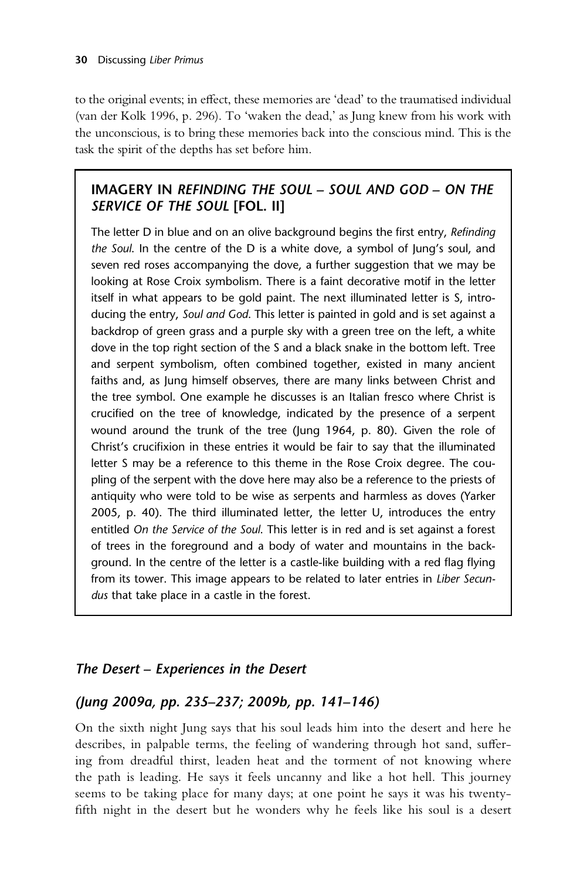to the original events; in effect, these memories are 'dead' to the traumatised individual (van der Kolk 1996, p. 296). To 'waken the dead,' as Jung knew from his work with the unconscious, is to bring these memories back into the conscious mind. This is the task the spirit of the depths has set before him.

# IMAGERY IN REFINDING THE SOUL – SOUL AND GOD – ON THE SERVICE OF THE SOUL [FOL. II]

The letter D in blue and on an olive background begins the first entry, Refinding the Soul. In the centre of the D is a white dove, a symbol of Jung's soul, and seven red roses accompanying the dove, a further suggestion that we may be looking at Rose Croix symbolism. There is a faint decorative motif in the letter itself in what appears to be gold paint. The next illuminated letter is S, introducing the entry, Soul and God. This letter is painted in gold and is set against a backdrop of green grass and a purple sky with a green tree on the left, a white dove in the top right section of the S and a black snake in the bottom left. Tree and serpent symbolism, often combined together, existed in many ancient faiths and, as Jung himself observes, there are many links between Christ and the tree symbol. One example he discusses is an Italian fresco where Christ is crucified on the tree of knowledge, indicated by the presence of a serpent wound around the trunk of the tree (Jung 1964, p. 80). Given the role of Christ's crucifixion in these entries it would be fair to say that the illuminated letter S may be a reference to this theme in the Rose Croix degree. The coupling of the serpent with the dove here may also be a reference to the priests of antiquity who were told to be wise as serpents and harmless as doves (Yarker 2005, p. 40). The third illuminated letter, the letter U, introduces the entry entitled On the Service of the Soul. This letter is in red and is set against a forest of trees in the foreground and a body of water and mountains in the background. In the centre of the letter is a castle-like building with a red flag flying from its tower. This image appears to be related to later entries in Liber Secundus that take place in a castle in the forest.

# The Desert – Experiences in the Desert

# (Jung 2009a, pp. 235–237; 2009b, pp. 141–146)

On the sixth night Jung says that his soul leads him into the desert and here he describes, in palpable terms, the feeling of wandering through hot sand, suffering from dreadful thirst, leaden heat and the torment of not knowing where the path is leading. He says it feels uncanny and like a hot hell. This journey seems to be taking place for many days; at one point he says it was his twentyfifth night in the desert but he wonders why he feels like his soul is a desert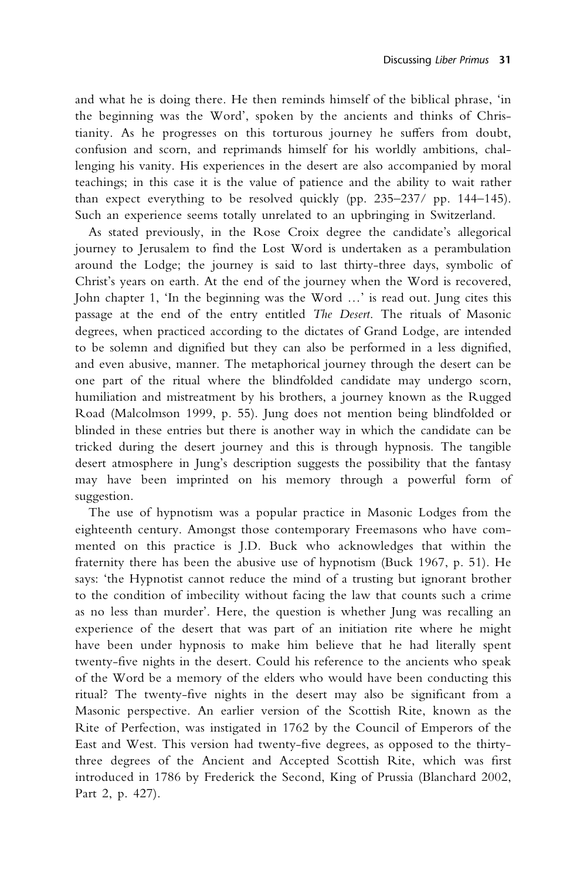and what he is doing there. He then reminds himself of the biblical phrase, 'in the beginning was the Word', spoken by the ancients and thinks of Christianity. As he progresses on this torturous journey he suffers from doubt, confusion and scorn, and reprimands himself for his worldly ambitions, challenging his vanity. His experiences in the desert are also accompanied by moral teachings; in this case it is the value of patience and the ability to wait rather than expect everything to be resolved quickly (pp. 235–237/ pp. 144–145). Such an experience seems totally unrelated to an upbringing in Switzerland.

As stated previously, in the Rose Croix degree the candidate's allegorical journey to Jerusalem to find the Lost Word is undertaken as a perambulation around the Lodge; the journey is said to last thirty-three days, symbolic of Christ's years on earth. At the end of the journey when the Word is recovered, John chapter 1, 'In the beginning was the Word …' is read out. Jung cites this passage at the end of the entry entitled The Desert. The rituals of Masonic degrees, when practiced according to the dictates of Grand Lodge, are intended to be solemn and dignified but they can also be performed in a less dignified, and even abusive, manner. The metaphorical journey through the desert can be one part of the ritual where the blindfolded candidate may undergo scorn, humiliation and mistreatment by his brothers, a journey known as the Rugged Road (Malcolmson 1999, p. 55). Jung does not mention being blindfolded or blinded in these entries but there is another way in which the candidate can be tricked during the desert journey and this is through hypnosis. The tangible desert atmosphere in Jung's description suggests the possibility that the fantasy may have been imprinted on his memory through a powerful form of suggestion.

The use of hypnotism was a popular practice in Masonic Lodges from the eighteenth century. Amongst those contemporary Freemasons who have commented on this practice is J.D. Buck who acknowledges that within the fraternity there has been the abusive use of hypnotism (Buck 1967, p. 51). He says: 'the Hypnotist cannot reduce the mind of a trusting but ignorant brother to the condition of imbecility without facing the law that counts such a crime as no less than murder'. Here, the question is whether Jung was recalling an experience of the desert that was part of an initiation rite where he might have been under hypnosis to make him believe that he had literally spent twenty-five nights in the desert. Could his reference to the ancients who speak of the Word be a memory of the elders who would have been conducting this ritual? The twenty-five nights in the desert may also be significant from a Masonic perspective. An earlier version of the Scottish Rite, known as the Rite of Perfection, was instigated in 1762 by the Council of Emperors of the East and West. This version had twenty-five degrees, as opposed to the thirtythree degrees of the Ancient and Accepted Scottish Rite, which was first introduced in 1786 by Frederick the Second, King of Prussia (Blanchard 2002, Part 2, p. 427).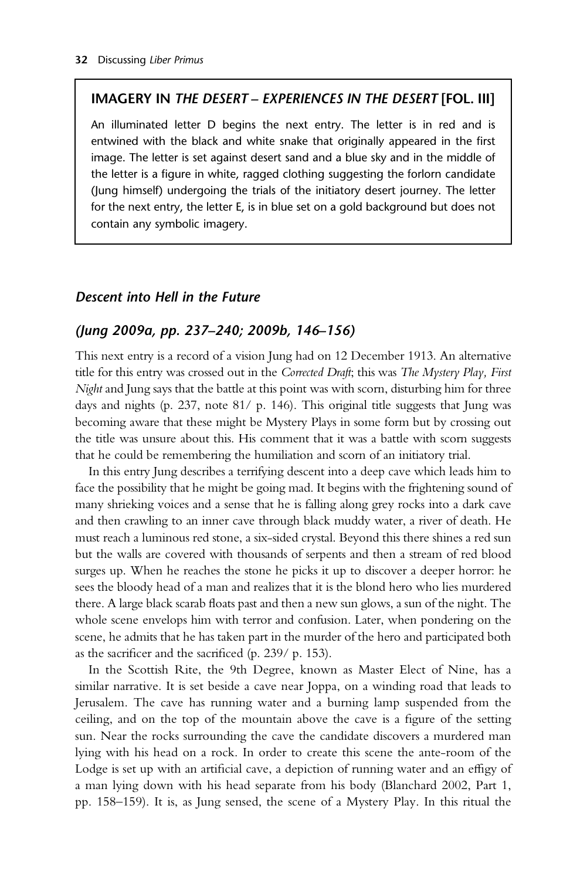#### IMAGERY IN THE DESERT – EXPERIENCES IN THE DESERT [FOL. III]

An illuminated letter D begins the next entry. The letter is in red and is entwined with the black and white snake that originally appeared in the first image. The letter is set against desert sand and a blue sky and in the middle of the letter is a figure in white, ragged clothing suggesting the forlorn candidate (Jung himself) undergoing the trials of the initiatory desert journey. The letter for the next entry, the letter E, is in blue set on a gold background but does not contain any symbolic imagery.

#### Descent into Hell in the Future

#### (Jung 2009a, pp. 237–240; 2009b, 146–156)

This next entry is a record of a vision Jung had on 12 December 1913. An alternative title for this entry was crossed out in the Corrected Draft; this was The Mystery Play, First Night and Jung says that the battle at this point was with scorn, disturbing him for three days and nights (p. 237, note 81/ p. 146). This original title suggests that Jung was becoming aware that these might be Mystery Plays in some form but by crossing out the title was unsure about this. His comment that it was a battle with scorn suggests that he could be remembering the humiliation and scorn of an initiatory trial.

In this entry Jung describes a terrifying descent into a deep cave which leads him to face the possibility that he might be going mad. It begins with the frightening sound of many shrieking voices and a sense that he is falling along grey rocks into a dark cave and then crawling to an inner cave through black muddy water, a river of death. He must reach a luminous red stone, a six-sided crystal. Beyond this there shines a red sun but the walls are covered with thousands of serpents and then a stream of red blood surges up. When he reaches the stone he picks it up to discover a deeper horror: he sees the bloody head of a man and realizes that it is the blond hero who lies murdered there. A large black scarab floats past and then a new sun glows, a sun of the night. The whole scene envelops him with terror and confusion. Later, when pondering on the scene, he admits that he has taken part in the murder of the hero and participated both as the sacrificer and the sacrificed (p. 239/ p. 153).

In the Scottish Rite, the 9th Degree, known as Master Elect of Nine, has a similar narrative. It is set beside a cave near Joppa, on a winding road that leads to Jerusalem. The cave has running water and a burning lamp suspended from the ceiling, and on the top of the mountain above the cave is a figure of the setting sun. Near the rocks surrounding the cave the candidate discovers a murdered man lying with his head on a rock. In order to create this scene the ante-room of the Lodge is set up with an artificial cave, a depiction of running water and an effigy of a man lying down with his head separate from his body (Blanchard 2002, Part 1, pp. 158–159). It is, as Jung sensed, the scene of a Mystery Play. In this ritual the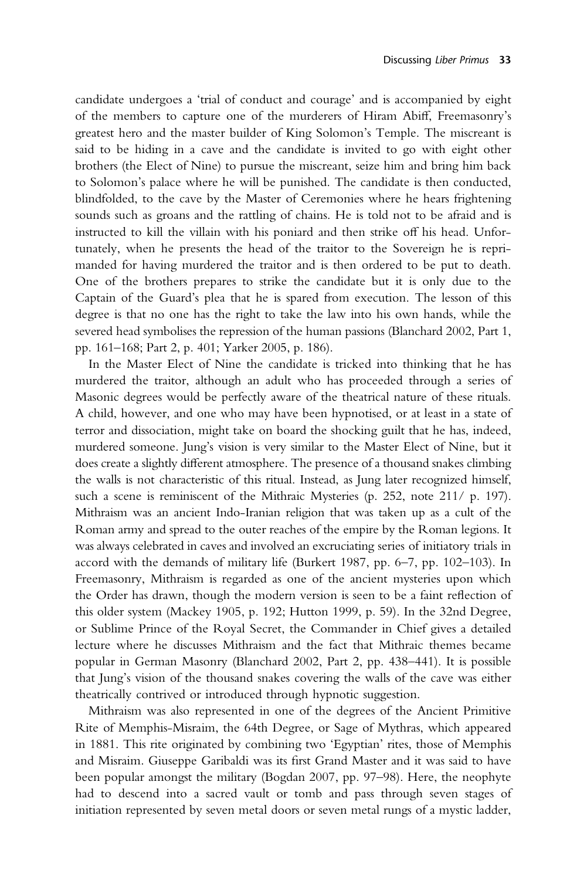candidate undergoes a 'trial of conduct and courage' and is accompanied by eight of the members to capture one of the murderers of Hiram Abiff, Freemasonry's greatest hero and the master builder of King Solomon's Temple. The miscreant is said to be hiding in a cave and the candidate is invited to go with eight other brothers (the Elect of Nine) to pursue the miscreant, seize him and bring him back to Solomon's palace where he will be punished. The candidate is then conducted, blindfolded, to the cave by the Master of Ceremonies where he hears frightening sounds such as groans and the rattling of chains. He is told not to be afraid and is instructed to kill the villain with his poniard and then strike off his head. Unfortunately, when he presents the head of the traitor to the Sovereign he is reprimanded for having murdered the traitor and is then ordered to be put to death. One of the brothers prepares to strike the candidate but it is only due to the Captain of the Guard's plea that he is spared from execution. The lesson of this degree is that no one has the right to take the law into his own hands, while the severed head symbolises the repression of the human passions (Blanchard 2002, Part 1, pp. 161–168; Part 2, p. 401; Yarker 2005, p. 186).

In the Master Elect of Nine the candidate is tricked into thinking that he has murdered the traitor, although an adult who has proceeded through a series of Masonic degrees would be perfectly aware of the theatrical nature of these rituals. A child, however, and one who may have been hypnotised, or at least in a state of terror and dissociation, might take on board the shocking guilt that he has, indeed, murdered someone. Jung's vision is very similar to the Master Elect of Nine, but it does create a slightly different atmosphere. The presence of a thousand snakes climbing the walls is not characteristic of this ritual. Instead, as Jung later recognized himself, such a scene is reminiscent of the Mithraic Mysteries (p. 252, note 211/ p. 197). Mithraism was an ancient Indo-Iranian religion that was taken up as a cult of the Roman army and spread to the outer reaches of the empire by the Roman legions. It was always celebrated in caves and involved an excruciating series of initiatory trials in accord with the demands of military life (Burkert 1987, pp. 6–7, pp. 102–103). In Freemasonry, Mithraism is regarded as one of the ancient mysteries upon which the Order has drawn, though the modern version is seen to be a faint reflection of this older system (Mackey 1905, p. 192; Hutton 1999, p. 59). In the 32nd Degree, or Sublime Prince of the Royal Secret, the Commander in Chief gives a detailed lecture where he discusses Mithraism and the fact that Mithraic themes became popular in German Masonry (Blanchard 2002, Part 2, pp. 438–441). It is possible that Jung's vision of the thousand snakes covering the walls of the cave was either theatrically contrived or introduced through hypnotic suggestion.

Mithraism was also represented in one of the degrees of the Ancient Primitive Rite of Memphis-Misraim, the 64th Degree, or Sage of Mythras, which appeared in 1881. This rite originated by combining two 'Egyptian' rites, those of Memphis and Misraim. Giuseppe Garibaldi was its first Grand Master and it was said to have been popular amongst the military (Bogdan 2007, pp. 97–98). Here, the neophyte had to descend into a sacred vault or tomb and pass through seven stages of initiation represented by seven metal doors or seven metal rungs of a mystic ladder,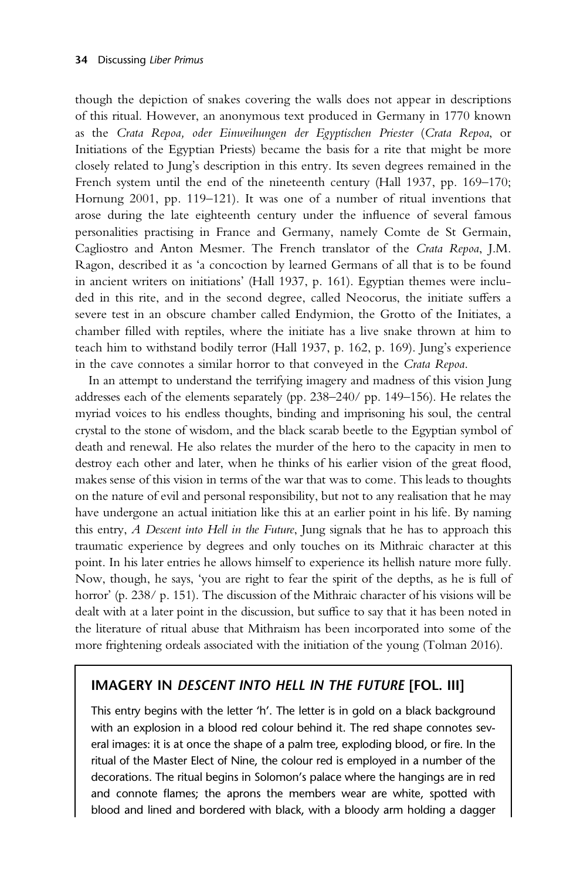though the depiction of snakes covering the walls does not appear in descriptions of this ritual. However, an anonymous text produced in Germany in 1770 known as the Crata Repoa, oder Einweihungen der Egyptischen Priester (Crata Repoa, or Initiations of the Egyptian Priests) became the basis for a rite that might be more closely related to Jung's description in this entry. Its seven degrees remained in the French system until the end of the nineteenth century (Hall 1937, pp. 169–170; Hornung 2001, pp. 119–121). It was one of a number of ritual inventions that arose during the late eighteenth century under the influence of several famous personalities practising in France and Germany, namely Comte de St Germain, Cagliostro and Anton Mesmer. The French translator of the Crata Repoa, J.M. Ragon, described it as 'a concoction by learned Germans of all that is to be found in ancient writers on initiations' (Hall 1937, p. 161). Egyptian themes were included in this rite, and in the second degree, called Neocorus, the initiate suffers a severe test in an obscure chamber called Endymion, the Grotto of the Initiates, a chamber filled with reptiles, where the initiate has a live snake thrown at him to teach him to withstand bodily terror (Hall 1937, p. 162, p. 169). Jung's experience in the cave connotes a similar horror to that conveyed in the Crata Repoa.

In an attempt to understand the terrifying imagery and madness of this vision Jung addresses each of the elements separately (pp. 238–240/ pp. 149–156). He relates the myriad voices to his endless thoughts, binding and imprisoning his soul, the central crystal to the stone of wisdom, and the black scarab beetle to the Egyptian symbol of death and renewal. He also relates the murder of the hero to the capacity in men to destroy each other and later, when he thinks of his earlier vision of the great flood, makes sense of this vision in terms of the war that was to come. This leads to thoughts on the nature of evil and personal responsibility, but not to any realisation that he may have undergone an actual initiation like this at an earlier point in his life. By naming this entry, A Descent into Hell in the Future, Jung signals that he has to approach this traumatic experience by degrees and only touches on its Mithraic character at this point. In his later entries he allows himself to experience its hellish nature more fully. Now, though, he says, 'you are right to fear the spirit of the depths, as he is full of horror' (p. 238/ p. 151). The discussion of the Mithraic character of his visions will be dealt with at a later point in the discussion, but suffice to say that it has been noted in the literature of ritual abuse that Mithraism has been incorporated into some of the more frightening ordeals associated with the initiation of the young (Tolman 2016).

# IMAGERY IN DESCENT INTO HELL IN THE FUTURE [FOL. III]

This entry begins with the letter 'h'. The letter is in gold on a black background with an explosion in a blood red colour behind it. The red shape connotes several images: it is at once the shape of a palm tree, exploding blood, or fire. In the ritual of the Master Elect of Nine, the colour red is employed in a number of the decorations. The ritual begins in Solomon's palace where the hangings are in red and connote flames; the aprons the members wear are white, spotted with blood and lined and bordered with black, with a bloody arm holding a dagger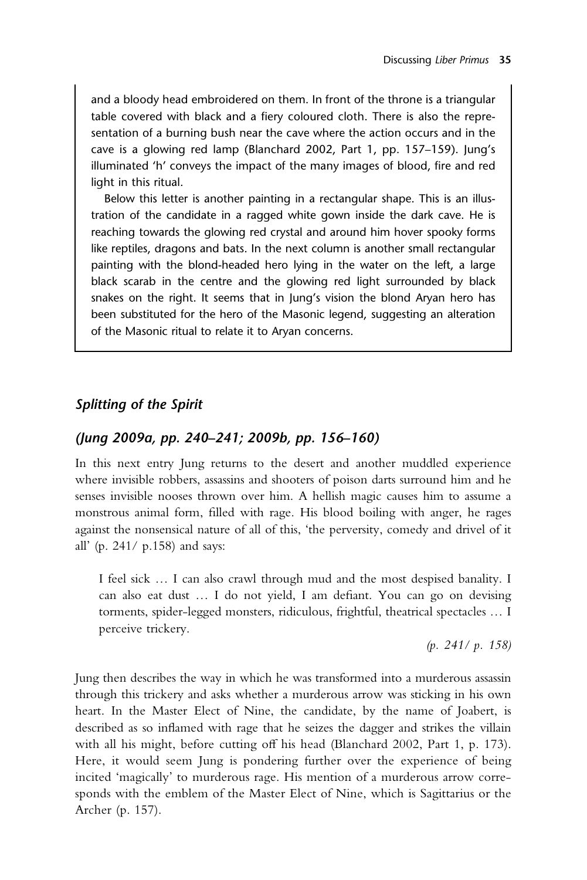and a bloody head embroidered on them. In front of the throne is a triangular table covered with black and a fiery coloured cloth. There is also the representation of a burning bush near the cave where the action occurs and in the cave is a glowing red lamp (Blanchard 2002, Part 1, pp. 157–159). Jung's illuminated 'h' conveys the impact of the many images of blood, fire and red light in this ritual.

Below this letter is another painting in a rectangular shape. This is an illustration of the candidate in a ragged white gown inside the dark cave. He is reaching towards the glowing red crystal and around him hover spooky forms like reptiles, dragons and bats. In the next column is another small rectangular painting with the blond-headed hero lying in the water on the left, a large black scarab in the centre and the glowing red light surrounded by black snakes on the right. It seems that in Jung's vision the blond Aryan hero has been substituted for the hero of the Masonic legend, suggesting an alteration of the Masonic ritual to relate it to Aryan concerns.

## Splitting of the Spirit

## (Jung 2009a, pp. 240–241; 2009b, pp. 156–160)

In this next entry Jung returns to the desert and another muddled experience where invisible robbers, assassins and shooters of poison darts surround him and he senses invisible nooses thrown over him. A hellish magic causes him to assume a monstrous animal form, filled with rage. His blood boiling with anger, he rages against the nonsensical nature of all of this, 'the perversity, comedy and drivel of it all' (p. 241/ p.158) and says:

I feel sick … I can also crawl through mud and the most despised banality. I can also eat dust … I do not yield, I am defiant. You can go on devising torments, spider-legged monsters, ridiculous, frightful, theatrical spectacles … I perceive trickery.

(p. 241/ p. 158)

Jung then describes the way in which he was transformed into a murderous assassin through this trickery and asks whether a murderous arrow was sticking in his own heart. In the Master Elect of Nine, the candidate, by the name of Joabert, is described as so inflamed with rage that he seizes the dagger and strikes the villain with all his might, before cutting off his head (Blanchard 2002, Part 1, p. 173). Here, it would seem Jung is pondering further over the experience of being incited 'magically' to murderous rage. His mention of a murderous arrow corresponds with the emblem of the Master Elect of Nine, which is Sagittarius or the Archer (p. 157).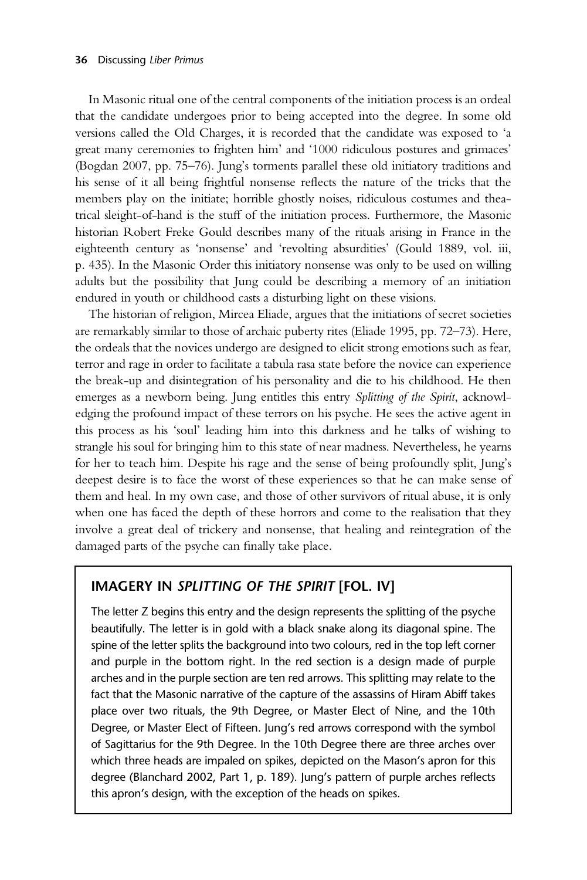In Masonic ritual one of the central components of the initiation process is an ordeal that the candidate undergoes prior to being accepted into the degree. In some old versions called the Old Charges, it is recorded that the candidate was exposed to 'a great many ceremonies to frighten him' and '1000 ridiculous postures and grimaces' (Bogdan 2007, pp. 75–76). Jung's torments parallel these old initiatory traditions and his sense of it all being frightful nonsense reflects the nature of the tricks that the members play on the initiate; horrible ghostly noises, ridiculous costumes and theatrical sleight-of-hand is the stuff of the initiation process. Furthermore, the Masonic historian Robert Freke Gould describes many of the rituals arising in France in the eighteenth century as 'nonsense' and 'revolting absurdities' (Gould 1889, vol. iii, p. 435). In the Masonic Order this initiatory nonsense was only to be used on willing adults but the possibility that Jung could be describing a memory of an initiation endured in youth or childhood casts a disturbing light on these visions.

The historian of religion, Mircea Eliade, argues that the initiations of secret societies are remarkably similar to those of archaic puberty rites (Eliade 1995, pp. 72–73). Here, the ordeals that the novices undergo are designed to elicit strong emotions such as fear, terror and rage in order to facilitate a tabula rasa state before the novice can experience the break-up and disintegration of his personality and die to his childhood. He then emerges as a newborn being. Jung entitles this entry Splitting of the Spirit, acknowledging the profound impact of these terrors on his psyche. He sees the active agent in this process as his 'soul' leading him into this darkness and he talks of wishing to strangle his soul for bringing him to this state of near madness. Nevertheless, he yearns for her to teach him. Despite his rage and the sense of being profoundly split, Jung's deepest desire is to face the worst of these experiences so that he can make sense of them and heal. In my own case, and those of other survivors of ritual abuse, it is only when one has faced the depth of these horrors and come to the realisation that they involve a great deal of trickery and nonsense, that healing and reintegration of the damaged parts of the psyche can finally take place.

#### IMAGERY IN SPLITTING OF THE SPIRIT [FOL. IV]

The letter Z begins this entry and the design represents the splitting of the psyche beautifully. The letter is in gold with a black snake along its diagonal spine. The spine of the letter splits the background into two colours, red in the top left corner and purple in the bottom right. In the red section is a design made of purple arches and in the purple section are ten red arrows. This splitting may relate to the fact that the Masonic narrative of the capture of the assassins of Hiram Abiff takes place over two rituals, the 9th Degree, or Master Elect of Nine, and the 10th Degree, or Master Elect of Fifteen. Jung's red arrows correspond with the symbol of Sagittarius for the 9th Degree. In the 10th Degree there are three arches over which three heads are impaled on spikes, depicted on the Mason's apron for this degree (Blanchard 2002, Part 1, p. 189). Jung's pattern of purple arches reflects this apron's design, with the exception of the heads on spikes.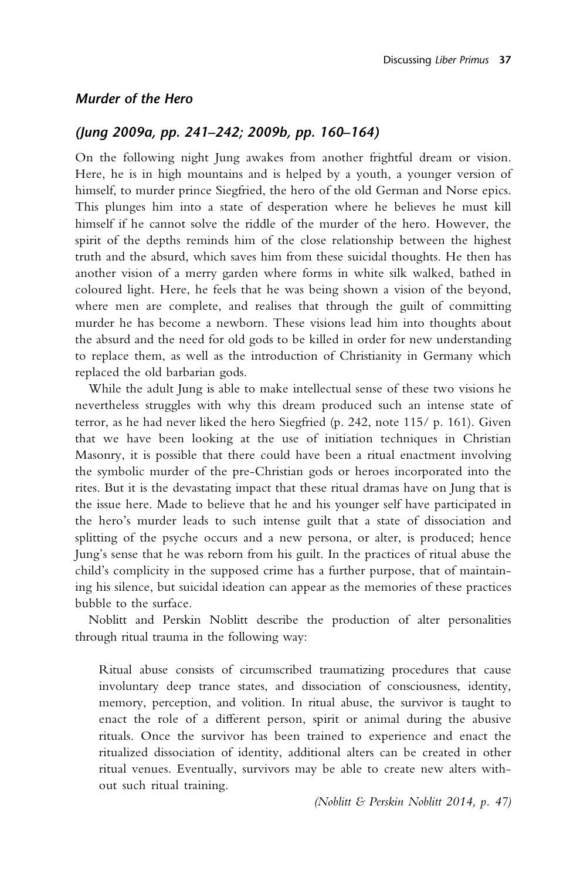#### Murder of the Hero

#### (Jung 2009a, pp. 241–242; 2009b, pp. 160–164)

On the following night Jung awakes from another frightful dream or vision. Here, he is in high mountains and is helped by a youth, a younger version of himself, to murder prince Siegfried, the hero of the old German and Norse epics. This plunges him into a state of desperation where he believes he must kill himself if he cannot solve the riddle of the murder of the hero. However, the spirit of the depths reminds him of the close relationship between the highest truth and the absurd, which saves him from these suicidal thoughts. He then has another vision of a merry garden where forms in white silk walked, bathed in coloured light. Here, he feels that he was being shown a vision of the beyond, where men are complete, and realises that through the guilt of committing murder he has become a newborn. These visions lead him into thoughts about the absurd and the need for old gods to be killed in order for new understanding to replace them, as well as the introduction of Christianity in Germany which replaced the old barbarian gods.

While the adult Jung is able to make intellectual sense of these two visions he nevertheless struggles with why this dream produced such an intense state of terror, as he had never liked the hero Siegfried (p. 242, note 115/ p. 161). Given that we have been looking at the use of initiation techniques in Christian Masonry, it is possible that there could have been a ritual enactment involving the symbolic murder of the pre-Christian gods or heroes incorporated into the rites. But it is the devastating impact that these ritual dramas have on Jung that is the issue here. Made to believe that he and his younger self have participated in the hero's murder leads to such intense guilt that a state of dissociation and splitting of the psyche occurs and a new persona, or alter, is produced; hence Jung's sense that he was reborn from his guilt. In the practices of ritual abuse the child's complicity in the supposed crime has a further purpose, that of maintaining his silence, but suicidal ideation can appear as the memories of these practices bubble to the surface.

Noblitt and Perskin Noblitt describe the production of alter personalities through ritual trauma in the following way:

Ritual abuse consists of circumscribed traumatizing procedures that cause involuntary deep trance states, and dissociation of consciousness, identity, memory, perception, and volition. In ritual abuse, the survivor is taught to enact the role of a different person, spirit or animal during the abusive rituals. Once the survivor has been trained to experience and enact the ritualized dissociation of identity, additional alters can be created in other ritual venues. Eventually, survivors may be able to create new alters without such ritual training.

(Noblitt & Perskin Noblitt 2014, p. 47)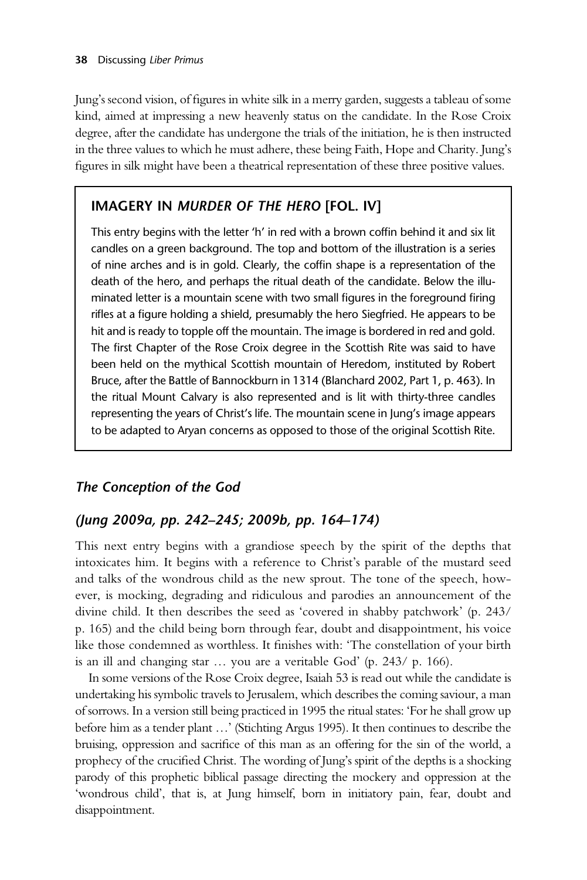Jung's second vision, of figures in white silk in a merry garden, suggests a tableau of some kind, aimed at impressing a new heavenly status on the candidate. In the Rose Croix degree, after the candidate has undergone the trials of the initiation, he is then instructed in the three values to which he must adhere, these being Faith, Hope and Charity. Jung's figures in silk might have been a theatrical representation of these three positive values.

# IMAGERY IN MURDER OF THE HERO [FOL. IV]

This entry begins with the letter 'h' in red with a brown coffin behind it and six lit candles on a green background. The top and bottom of the illustration is a series of nine arches and is in gold. Clearly, the coffin shape is a representation of the death of the hero, and perhaps the ritual death of the candidate. Below the illuminated letter is a mountain scene with two small figures in the foreground firing rifles at a figure holding a shield, presumably the hero Siegfried. He appears to be hit and is ready to topple off the mountain. The image is bordered in red and gold. The first Chapter of the Rose Croix degree in the Scottish Rite was said to have been held on the mythical Scottish mountain of Heredom, instituted by Robert Bruce, after the Battle of Bannockburn in 1314 (Blanchard 2002, Part 1, p. 463). In the ritual Mount Calvary is also represented and is lit with thirty-three candles representing the years of Christ's life. The mountain scene in Jung's image appears to be adapted to Aryan concerns as opposed to those of the original Scottish Rite.

# The Conception of the God

## (Jung 2009a, pp. 242–245; 2009b, pp. 164–174)

This next entry begins with a grandiose speech by the spirit of the depths that intoxicates him. It begins with a reference to Christ's parable of the mustard seed and talks of the wondrous child as the new sprout. The tone of the speech, however, is mocking, degrading and ridiculous and parodies an announcement of the divine child. It then describes the seed as 'covered in shabby patchwork' (p. 243/ p. 165) and the child being born through fear, doubt and disappointment, his voice like those condemned as worthless. It finishes with: 'The constellation of your birth is an ill and changing star … you are a veritable God' (p. 243/ p. 166).

In some versions of the Rose Croix degree, Isaiah 53 is read out while the candidate is undertaking his symbolic travels to Jerusalem, which describes the coming saviour, a man of sorrows. In a version still being practiced in 1995 the ritual states: 'For he shall grow up before him as a tender plant …' (Stichting Argus 1995). It then continues to describe the bruising, oppression and sacrifice of this man as an offering for the sin of the world, a prophecy of the crucified Christ. The wording of Jung's spirit of the depths is a shocking parody of this prophetic biblical passage directing the mockery and oppression at the 'wondrous child', that is, at Jung himself, born in initiatory pain, fear, doubt and disappointment.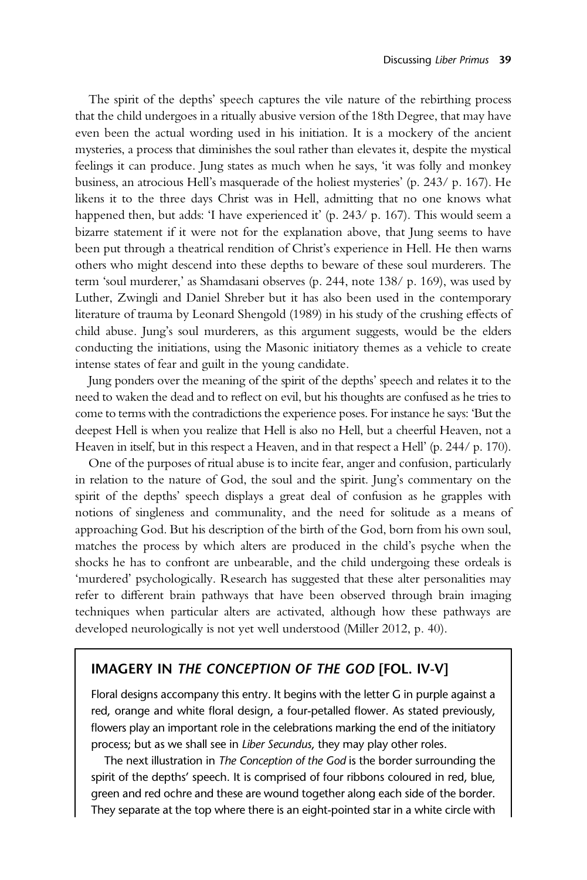The spirit of the depths' speech captures the vile nature of the rebirthing process that the child undergoes in a ritually abusive version of the 18th Degree, that may have even been the actual wording used in his initiation. It is a mockery of the ancient mysteries, a process that diminishes the soul rather than elevates it, despite the mystical feelings it can produce. Jung states as much when he says, 'it was folly and monkey business, an atrocious Hell's masquerade of the holiest mysteries' (p. 243/ p. 167). He likens it to the three days Christ was in Hell, admitting that no one knows what happened then, but adds: 'I have experienced it' (p. 243/ p. 167). This would seem a bizarre statement if it were not for the explanation above, that Jung seems to have been put through a theatrical rendition of Christ's experience in Hell. He then warns others who might descend into these depths to beware of these soul murderers. The term 'soul murderer,' as Shamdasani observes (p. 244, note 138/ p. 169), was used by Luther, Zwingli and Daniel Shreber but it has also been used in the contemporary literature of trauma by Leonard Shengold (1989) in his study of the crushing effects of child abuse. Jung's soul murderers, as this argument suggests, would be the elders conducting the initiations, using the Masonic initiatory themes as a vehicle to create intense states of fear and guilt in the young candidate.

Jung ponders over the meaning of the spirit of the depths' speech and relates it to the need to waken the dead and to reflect on evil, but his thoughts are confused as he tries to come to terms with the contradictions the experience poses. For instance he says: 'But the deepest Hell is when you realize that Hell is also no Hell, but a cheerful Heaven, not a Heaven in itself, but in this respect a Heaven, and in that respect a Hell' (p. 244/ p. 170).

One of the purposes of ritual abuse is to incite fear, anger and confusion, particularly in relation to the nature of God, the soul and the spirit. Jung's commentary on the spirit of the depths' speech displays a great deal of confusion as he grapples with notions of singleness and communality, and the need for solitude as a means of approaching God. But his description of the birth of the God, born from his own soul, matches the process by which alters are produced in the child's psyche when the shocks he has to confront are unbearable, and the child undergoing these ordeals is 'murdered' psychologically. Research has suggested that these alter personalities may refer to different brain pathways that have been observed through brain imaging techniques when particular alters are activated, although how these pathways are developed neurologically is not yet well understood (Miller 2012, p. 40).

# IMAGERY IN THE CONCEPTION OF THE GOD [FOL. IV-V]

Floral designs accompany this entry. It begins with the letter G in purple against a red, orange and white floral design, a four-petalled flower. As stated previously, flowers play an important role in the celebrations marking the end of the initiatory process; but as we shall see in Liber Secundus, they may play other roles.

The next illustration in The Conception of the God is the border surrounding the spirit of the depths' speech. It is comprised of four ribbons coloured in red, blue, green and red ochre and these are wound together along each side of the border. They separate at the top where there is an eight-pointed star in a white circle with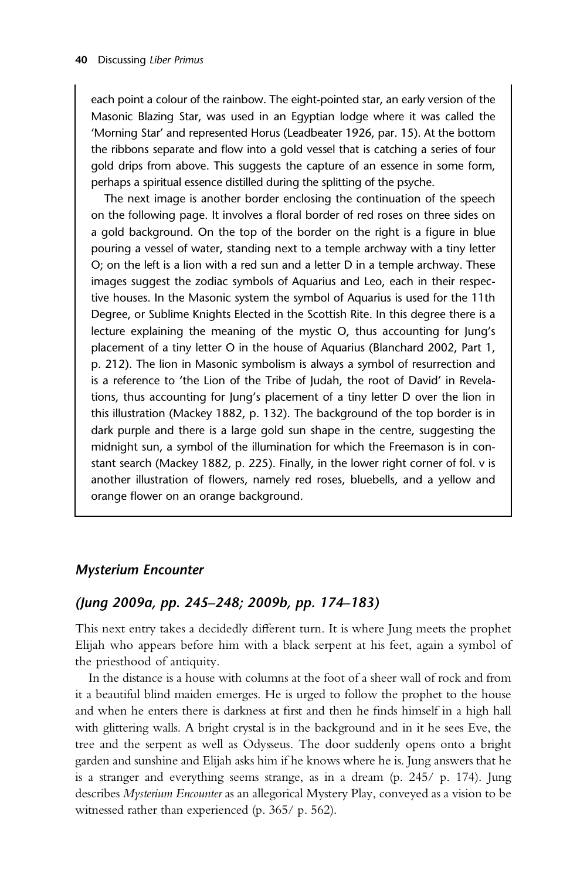each point a colour of the rainbow. The eight-pointed star, an early version of the Masonic Blazing Star, was used in an Egyptian lodge where it was called the 'Morning Star' and represented Horus (Leadbeater 1926, par. 15). At the bottom the ribbons separate and flow into a gold vessel that is catching a series of four gold drips from above. This suggests the capture of an essence in some form, perhaps a spiritual essence distilled during the splitting of the psyche.

The next image is another border enclosing the continuation of the speech on the following page. It involves a floral border of red roses on three sides on a gold background. On the top of the border on the right is a figure in blue pouring a vessel of water, standing next to a temple archway with a tiny letter O; on the left is a lion with a red sun and a letter D in a temple archway. These images suggest the zodiac symbols of Aquarius and Leo, each in their respective houses. In the Masonic system the symbol of Aquarius is used for the 11th Degree, or Sublime Knights Elected in the Scottish Rite. In this degree there is a lecture explaining the meaning of the mystic O, thus accounting for Jung's placement of a tiny letter O in the house of Aquarius (Blanchard 2002, Part 1, p. 212). The lion in Masonic symbolism is always a symbol of resurrection and is a reference to 'the Lion of the Tribe of Judah, the root of David' in Revelations, thus accounting for Jung's placement of a tiny letter D over the lion in this illustration (Mackey 1882, p. 132). The background of the top border is in dark purple and there is a large gold sun shape in the centre, suggesting the midnight sun, a symbol of the illumination for which the Freemason is in constant search (Mackey 1882, p. 225). Finally, in the lower right corner of fol. v is another illustration of flowers, namely red roses, bluebells, and a yellow and orange flower on an orange background.

#### Mysterium Encounter

#### (Jung 2009a, pp. 245–248; 2009b, pp. 174–183)

This next entry takes a decidedly different turn. It is where Jung meets the prophet Elijah who appears before him with a black serpent at his feet, again a symbol of the priesthood of antiquity.

In the distance is a house with columns at the foot of a sheer wall of rock and from it a beautiful blind maiden emerges. He is urged to follow the prophet to the house and when he enters there is darkness at first and then he finds himself in a high hall with glittering walls. A bright crystal is in the background and in it he sees Eve, the tree and the serpent as well as Odysseus. The door suddenly opens onto a bright garden and sunshine and Elijah asks him if he knows where he is. Jung answers that he is a stranger and everything seems strange, as in a dream (p. 245/ p. 174). Jung describes Mysterium Encounter as an allegorical Mystery Play, conveyed as a vision to be witnessed rather than experienced (p. 365/ p. 562).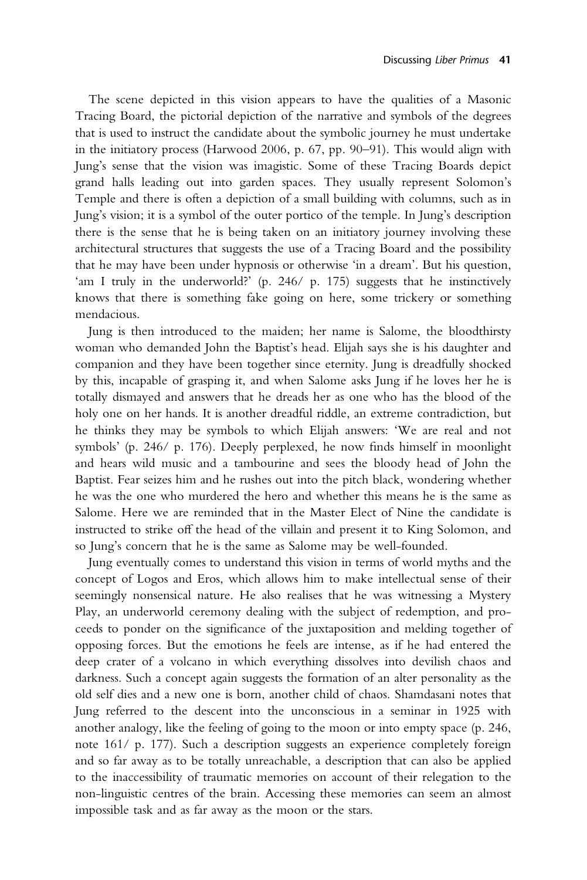The scene depicted in this vision appears to have the qualities of a Masonic Tracing Board, the pictorial depiction of the narrative and symbols of the degrees that is used to instruct the candidate about the symbolic journey he must undertake in the initiatory process (Harwood 2006, p. 67, pp. 90–91). This would align with Jung's sense that the vision was imagistic. Some of these Tracing Boards depict grand halls leading out into garden spaces. They usually represent Solomon's Temple and there is often a depiction of a small building with columns, such as in Jung's vision; it is a symbol of the outer portico of the temple. In Jung's description there is the sense that he is being taken on an initiatory journey involving these architectural structures that suggests the use of a Tracing Board and the possibility that he may have been under hypnosis or otherwise 'in a dream'. But his question, 'am I truly in the underworld?' (p. 246/ p. 175) suggests that he instinctively knows that there is something fake going on here, some trickery or something mendacious.

Jung is then introduced to the maiden; her name is Salome, the bloodthirsty woman who demanded John the Baptist's head. Elijah says she is his daughter and companion and they have been together since eternity. Jung is dreadfully shocked by this, incapable of grasping it, and when Salome asks Jung if he loves her he is totally dismayed and answers that he dreads her as one who has the blood of the holy one on her hands. It is another dreadful riddle, an extreme contradiction, but he thinks they may be symbols to which Elijah answers: 'We are real and not symbols' (p. 246/ p. 176). Deeply perplexed, he now finds himself in moonlight and hears wild music and a tambourine and sees the bloody head of John the Baptist. Fear seizes him and he rushes out into the pitch black, wondering whether he was the one who murdered the hero and whether this means he is the same as Salome. Here we are reminded that in the Master Elect of Nine the candidate is instructed to strike off the head of the villain and present it to King Solomon, and so Jung's concern that he is the same as Salome may be well-founded.

Jung eventually comes to understand this vision in terms of world myths and the concept of Logos and Eros, which allows him to make intellectual sense of their seemingly nonsensical nature. He also realises that he was witnessing a Mystery Play, an underworld ceremony dealing with the subject of redemption, and proceeds to ponder on the significance of the juxtaposition and melding together of opposing forces. But the emotions he feels are intense, as if he had entered the deep crater of a volcano in which everything dissolves into devilish chaos and darkness. Such a concept again suggests the formation of an alter personality as the old self dies and a new one is born, another child of chaos. Shamdasani notes that Jung referred to the descent into the unconscious in a seminar in 1925 with another analogy, like the feeling of going to the moon or into empty space (p. 246, note 161/ p. 177). Such a description suggests an experience completely foreign and so far away as to be totally unreachable, a description that can also be applied to the inaccessibility of traumatic memories on account of their relegation to the non-linguistic centres of the brain. Accessing these memories can seem an almost impossible task and as far away as the moon or the stars.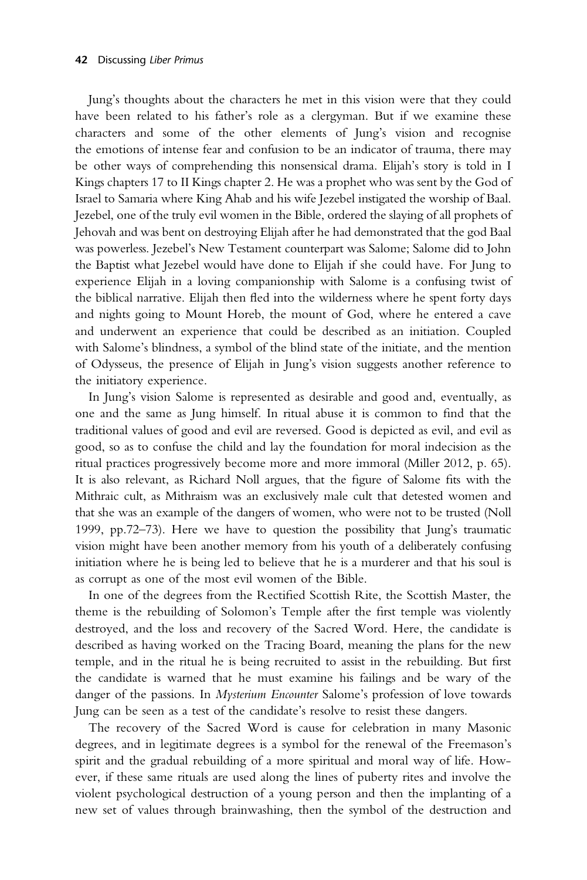Jung's thoughts about the characters he met in this vision were that they could have been related to his father's role as a clergyman. But if we examine these characters and some of the other elements of Jung's vision and recognise the emotions of intense fear and confusion to be an indicator of trauma, there may be other ways of comprehending this nonsensical drama. Elijah's story is told in I Kings chapters 17 to II Kings chapter 2. He was a prophet who was sent by the God of Israel to Samaria where King Ahab and his wife Jezebel instigated the worship of Baal. Jezebel, one of the truly evil women in the Bible, ordered the slaying of all prophets of Jehovah and was bent on destroying Elijah after he had demonstrated that the god Baal was powerless. Jezebel's New Testament counterpart was Salome; Salome did to John the Baptist what Jezebel would have done to Elijah if she could have. For Jung to experience Elijah in a loving companionship with Salome is a confusing twist of the biblical narrative. Elijah then fled into the wilderness where he spent forty days and nights going to Mount Horeb, the mount of God, where he entered a cave and underwent an experience that could be described as an initiation. Coupled with Salome's blindness, a symbol of the blind state of the initiate, and the mention of Odysseus, the presence of Elijah in Jung's vision suggests another reference to the initiatory experience.

In Jung's vision Salome is represented as desirable and good and, eventually, as one and the same as Jung himself. In ritual abuse it is common to find that the traditional values of good and evil are reversed. Good is depicted as evil, and evil as good, so as to confuse the child and lay the foundation for moral indecision as the ritual practices progressively become more and more immoral (Miller 2012, p. 65). It is also relevant, as Richard Noll argues, that the figure of Salome fits with the Mithraic cult, as Mithraism was an exclusively male cult that detested women and that she was an example of the dangers of women, who were not to be trusted (Noll 1999, pp.72–73). Here we have to question the possibility that Jung's traumatic vision might have been another memory from his youth of a deliberately confusing initiation where he is being led to believe that he is a murderer and that his soul is as corrupt as one of the most evil women of the Bible.

In one of the degrees from the Rectified Scottish Rite, the Scottish Master, the theme is the rebuilding of Solomon's Temple after the first temple was violently destroyed, and the loss and recovery of the Sacred Word. Here, the candidate is described as having worked on the Tracing Board, meaning the plans for the new temple, and in the ritual he is being recruited to assist in the rebuilding. But first the candidate is warned that he must examine his failings and be wary of the danger of the passions. In Mysterium Encounter Salome's profession of love towards Jung can be seen as a test of the candidate's resolve to resist these dangers.

The recovery of the Sacred Word is cause for celebration in many Masonic degrees, and in legitimate degrees is a symbol for the renewal of the Freemason's spirit and the gradual rebuilding of a more spiritual and moral way of life. However, if these same rituals are used along the lines of puberty rites and involve the violent psychological destruction of a young person and then the implanting of a new set of values through brainwashing, then the symbol of the destruction and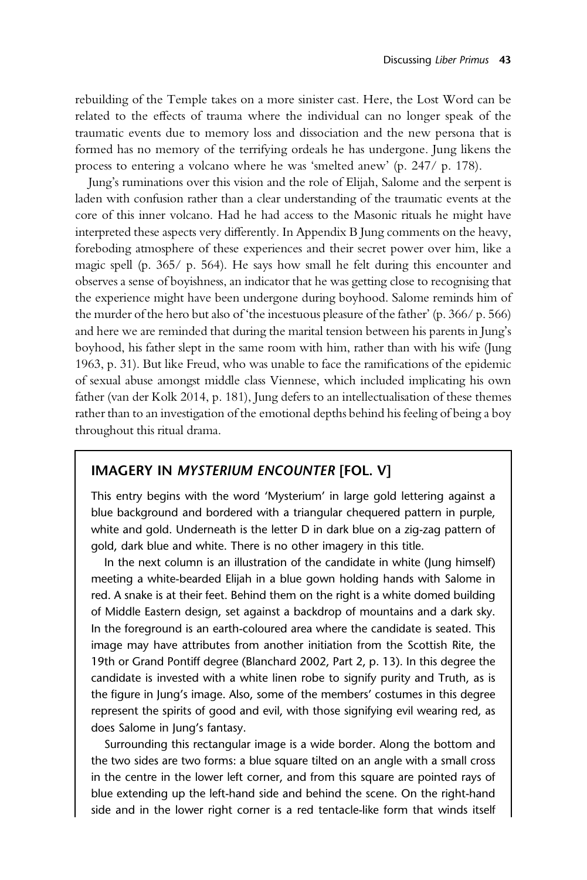rebuilding of the Temple takes on a more sinister cast. Here, the Lost Word can be related to the effects of trauma where the individual can no longer speak of the traumatic events due to memory loss and dissociation and the new persona that is formed has no memory of the terrifying ordeals he has undergone. Jung likens the process to entering a volcano where he was 'smelted anew' (p. 247/ p. 178).

Jung's ruminations over this vision and the role of Elijah, Salome and the serpent is laden with confusion rather than a clear understanding of the traumatic events at the core of this inner volcano. Had he had access to the Masonic rituals he might have interpreted these aspects very differently. In Appendix B Jung comments on the heavy, foreboding atmosphere of these experiences and their secret power over him, like a magic spell (p. 365/ p. 564). He says how small he felt during this encounter and observes a sense of boyishness, an indicator that he was getting close to recognising that the experience might have been undergone during boyhood. Salome reminds him of the murder of the hero but also of 'the incestuous pleasure of the father' (p. 366/ p. 566) and here we are reminded that during the marital tension between his parents in Jung's boyhood, his father slept in the same room with him, rather than with his wife (Jung 1963, p. 31). But like Freud, who was unable to face the ramifications of the epidemic of sexual abuse amongst middle class Viennese, which included implicating his own father (van der Kolk 2014, p. 181), Jung defers to an intellectualisation of these themes rather than to an investigation of the emotional depths behind his feeling of being a boy throughout this ritual drama.

#### IMAGERY IN MYSTERIUM ENCOUNTER [FOL. V]

This entry begins with the word 'Mysterium' in large gold lettering against a blue background and bordered with a triangular chequered pattern in purple, white and gold. Underneath is the letter D in dark blue on a zig-zag pattern of gold, dark blue and white. There is no other imagery in this title.

In the next column is an illustration of the candidate in white (Jung himself) meeting a white-bearded Elijah in a blue gown holding hands with Salome in red. A snake is at their feet. Behind them on the right is a white domed building of Middle Eastern design, set against a backdrop of mountains and a dark sky. In the foreground is an earth-coloured area where the candidate is seated. This image may have attributes from another initiation from the Scottish Rite, the 19th or Grand Pontiff degree (Blanchard 2002, Part 2, p. 13). In this degree the candidate is invested with a white linen robe to signify purity and Truth, as is the figure in Jung's image. Also, some of the members' costumes in this degree represent the spirits of good and evil, with those signifying evil wearing red, as does Salome in Jung's fantasy.

Surrounding this rectangular image is a wide border. Along the bottom and the two sides are two forms: a blue square tilted on an angle with a small cross in the centre in the lower left corner, and from this square are pointed rays of blue extending up the left-hand side and behind the scene. On the right-hand side and in the lower right corner is a red tentacle-like form that winds itself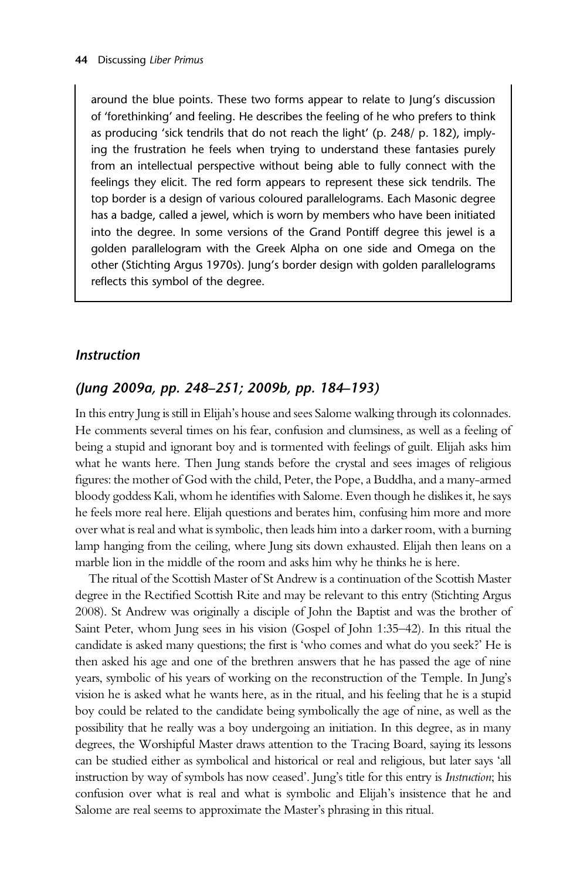around the blue points. These two forms appear to relate to Jung's discussion of 'forethinking' and feeling. He describes the feeling of he who prefers to think as producing 'sick tendrils that do not reach the light' (p. 248/ p. 182), implying the frustration he feels when trying to understand these fantasies purely from an intellectual perspective without being able to fully connect with the feelings they elicit. The red form appears to represent these sick tendrils. The top border is a design of various coloured parallelograms. Each Masonic degree has a badge, called a jewel, which is worn by members who have been initiated into the degree. In some versions of the Grand Pontiff degree this jewel is a golden parallelogram with the Greek Alpha on one side and Omega on the other (Stichting Argus 1970s). Jung's border design with golden parallelograms reflects this symbol of the degree.

#### **Instruction**

#### (Jung 2009a, pp. 248–251; 2009b, pp. 184–193)

In this entry Jung is still in Elijah's house and sees Salome walking through its colonnades. He comments several times on his fear, confusion and clumsiness, as well as a feeling of being a stupid and ignorant boy and is tormented with feelings of guilt. Elijah asks him what he wants here. Then Jung stands before the crystal and sees images of religious figures: the mother of God with the child, Peter, the Pope, a Buddha, and a many-armed bloody goddess Kali, whom he identifies with Salome. Even though he dislikes it, he says he feels more real here. Elijah questions and berates him, confusing him more and more over what is real and what is symbolic, then leads him into a darker room, with a burning lamp hanging from the ceiling, where Jung sits down exhausted. Elijah then leans on a marble lion in the middle of the room and asks him why he thinks he is here.

The ritual of the Scottish Master of St Andrew is a continuation of the Scottish Master degree in the Rectified Scottish Rite and may be relevant to this entry (Stichting Argus 2008). St Andrew was originally a disciple of John the Baptist and was the brother of Saint Peter, whom Jung sees in his vision (Gospel of John 1:35–42). In this ritual the candidate is asked many questions; the first is 'who comes and what do you seek?' He is then asked his age and one of the brethren answers that he has passed the age of nine years, symbolic of his years of working on the reconstruction of the Temple. In Jung's vision he is asked what he wants here, as in the ritual, and his feeling that he is a stupid boy could be related to the candidate being symbolically the age of nine, as well as the possibility that he really was a boy undergoing an initiation. In this degree, as in many degrees, the Worshipful Master draws attention to the Tracing Board, saying its lessons can be studied either as symbolical and historical or real and religious, but later says 'all instruction by way of symbols has now ceased'. Jung's title for this entry is Instruction; his confusion over what is real and what is symbolic and Elijah's insistence that he and Salome are real seems to approximate the Master's phrasing in this ritual.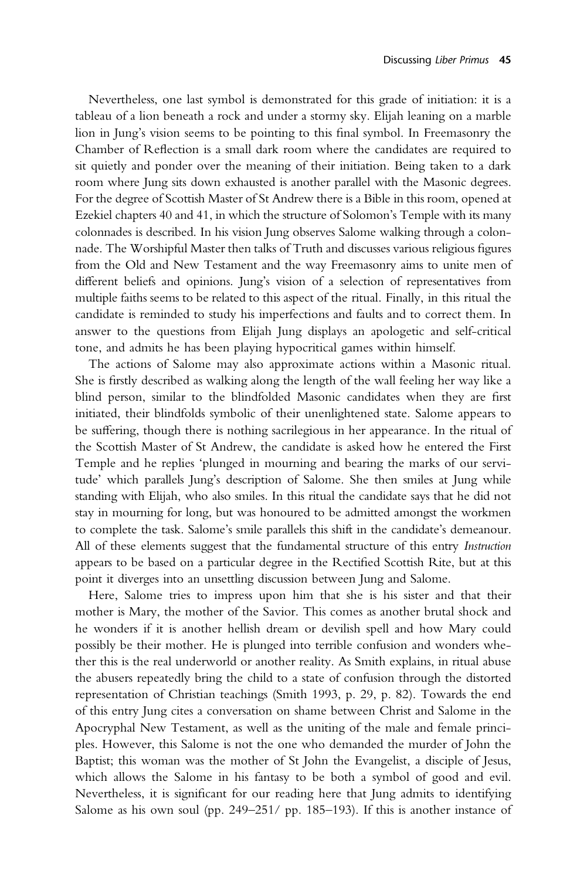Nevertheless, one last symbol is demonstrated for this grade of initiation: it is a tableau of a lion beneath a rock and under a stormy sky. Elijah leaning on a marble lion in Jung's vision seems to be pointing to this final symbol. In Freemasonry the Chamber of Reflection is a small dark room where the candidates are required to sit quietly and ponder over the meaning of their initiation. Being taken to a dark room where Jung sits down exhausted is another parallel with the Masonic degrees. For the degree of Scottish Master of St Andrew there is a Bible in this room, opened at Ezekiel chapters 40 and 41, in which the structure of Solomon's Temple with its many colonnades is described. In his vision Jung observes Salome walking through a colonnade. The Worshipful Master then talks of Truth and discusses various religious figures from the Old and New Testament and the way Freemasonry aims to unite men of different beliefs and opinions. Jung's vision of a selection of representatives from multiple faiths seems to be related to this aspect of the ritual. Finally, in this ritual the candidate is reminded to study his imperfections and faults and to correct them. In answer to the questions from Elijah Jung displays an apologetic and self-critical tone, and admits he has been playing hypocritical games within himself.

The actions of Salome may also approximate actions within a Masonic ritual. She is firstly described as walking along the length of the wall feeling her way like a blind person, similar to the blindfolded Masonic candidates when they are first initiated, their blindfolds symbolic of their unenlightened state. Salome appears to be suffering, though there is nothing sacrilegious in her appearance. In the ritual of the Scottish Master of St Andrew, the candidate is asked how he entered the First Temple and he replies 'plunged in mourning and bearing the marks of our servitude' which parallels Jung's description of Salome. She then smiles at Jung while standing with Elijah, who also smiles. In this ritual the candidate says that he did not stay in mourning for long, but was honoured to be admitted amongst the workmen to complete the task. Salome's smile parallels this shift in the candidate's demeanour. All of these elements suggest that the fundamental structure of this entry Instruction appears to be based on a particular degree in the Rectified Scottish Rite, but at this point it diverges into an unsettling discussion between Jung and Salome.

Here, Salome tries to impress upon him that she is his sister and that their mother is Mary, the mother of the Savior. This comes as another brutal shock and he wonders if it is another hellish dream or devilish spell and how Mary could possibly be their mother. He is plunged into terrible confusion and wonders whether this is the real underworld or another reality. As Smith explains, in ritual abuse the abusers repeatedly bring the child to a state of confusion through the distorted representation of Christian teachings (Smith 1993, p. 29, p. 82). Towards the end of this entry Jung cites a conversation on shame between Christ and Salome in the Apocryphal New Testament, as well as the uniting of the male and female principles. However, this Salome is not the one who demanded the murder of John the Baptist; this woman was the mother of St John the Evangelist, a disciple of Jesus, which allows the Salome in his fantasy to be both a symbol of good and evil. Nevertheless, it is significant for our reading here that Jung admits to identifying Salome as his own soul (pp. 249–251/ pp. 185–193). If this is another instance of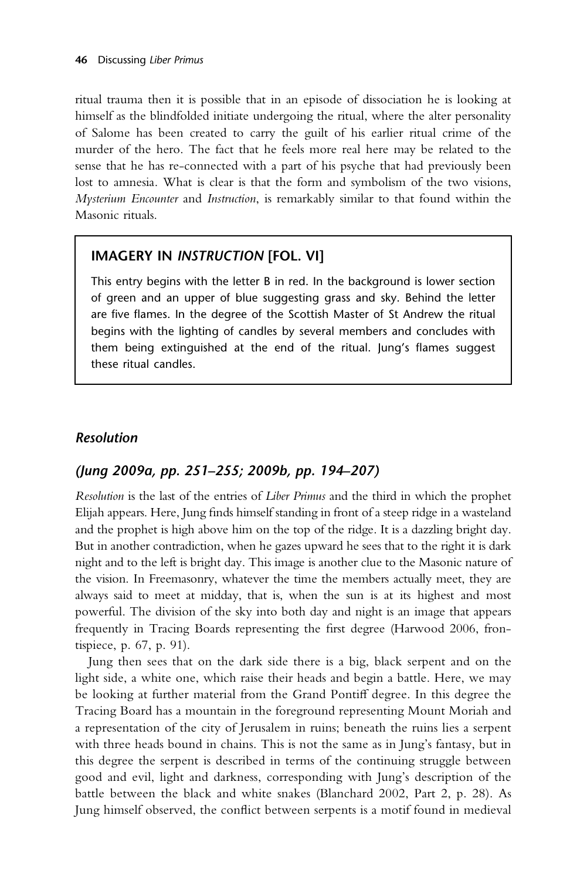ritual trauma then it is possible that in an episode of dissociation he is looking at himself as the blindfolded initiate undergoing the ritual, where the alter personality of Salome has been created to carry the guilt of his earlier ritual crime of the murder of the hero. The fact that he feels more real here may be related to the sense that he has re-connected with a part of his psyche that had previously been lost to amnesia. What is clear is that the form and symbolism of the two visions, Mysterium Encounter and Instruction, is remarkably similar to that found within the Masonic rituals.

#### IMAGERY IN INSTRUCTION [FOL. VI]

This entry begins with the letter B in red. In the background is lower section of green and an upper of blue suggesting grass and sky. Behind the letter are five flames. In the degree of the Scottish Master of St Andrew the ritual begins with the lighting of candles by several members and concludes with them being extinguished at the end of the ritual. Jung's flames suggest these ritual candles.

#### Resolution

#### (Jung 2009a, pp. 251–255; 2009b, pp. 194–207)

Resolution is the last of the entries of Liber Primus and the third in which the prophet Elijah appears. Here, Jung finds himself standing in front of a steep ridge in a wasteland and the prophet is high above him on the top of the ridge. It is a dazzling bright day. But in another contradiction, when he gazes upward he sees that to the right it is dark night and to the left is bright day. This image is another clue to the Masonic nature of the vision. In Freemasonry, whatever the time the members actually meet, they are always said to meet at midday, that is, when the sun is at its highest and most powerful. The division of the sky into both day and night is an image that appears frequently in Tracing Boards representing the first degree (Harwood 2006, frontispiece, p. 67, p. 91).

Jung then sees that on the dark side there is a big, black serpent and on the light side, a white one, which raise their heads and begin a battle. Here, we may be looking at further material from the Grand Pontiff degree. In this degree the Tracing Board has a mountain in the foreground representing Mount Moriah and a representation of the city of Jerusalem in ruins; beneath the ruins lies a serpent with three heads bound in chains. This is not the same as in Jung's fantasy, but in this degree the serpent is described in terms of the continuing struggle between good and evil, light and darkness, corresponding with Jung's description of the battle between the black and white snakes (Blanchard 2002, Part 2, p. 28). As Jung himself observed, the conflict between serpents is a motif found in medieval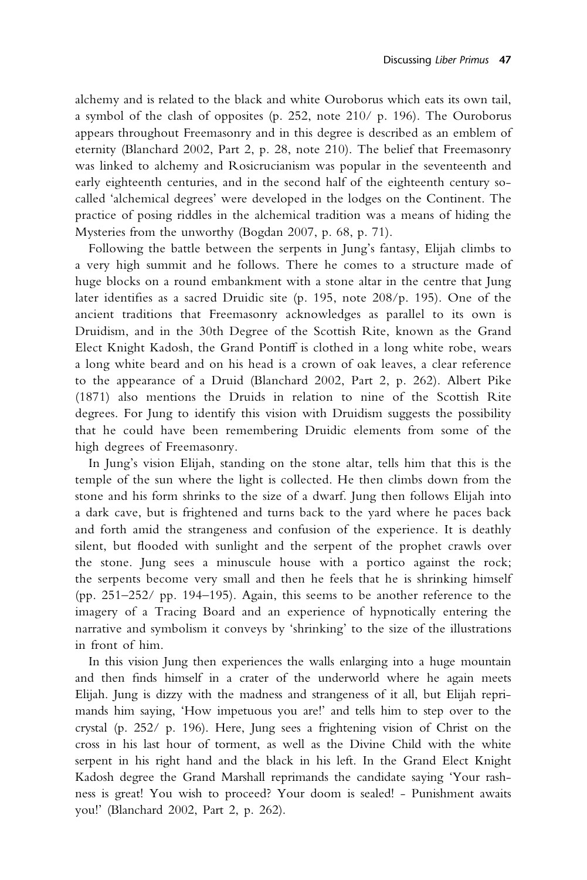alchemy and is related to the black and white Ouroborus which eats its own tail, a symbol of the clash of opposites (p. 252, note 210/ p. 196). The Ouroborus appears throughout Freemasonry and in this degree is described as an emblem of eternity (Blanchard 2002, Part 2, p. 28, note 210). The belief that Freemasonry was linked to alchemy and Rosicrucianism was popular in the seventeenth and early eighteenth centuries, and in the second half of the eighteenth century socalled 'alchemical degrees' were developed in the lodges on the Continent. The practice of posing riddles in the alchemical tradition was a means of hiding the Mysteries from the unworthy (Bogdan 2007, p. 68, p. 71).

Following the battle between the serpents in Jung's fantasy, Elijah climbs to a very high summit and he follows. There he comes to a structure made of huge blocks on a round embankment with a stone altar in the centre that Jung later identifies as a sacred Druidic site (p. 195, note 208/p. 195). One of the ancient traditions that Freemasonry acknowledges as parallel to its own is Druidism, and in the 30th Degree of the Scottish Rite, known as the Grand Elect Knight Kadosh, the Grand Pontiff is clothed in a long white robe, wears a long white beard and on his head is a crown of oak leaves, a clear reference to the appearance of a Druid (Blanchard 2002, Part 2, p. 262). Albert Pike (1871) also mentions the Druids in relation to nine of the Scottish Rite degrees. For Jung to identify this vision with Druidism suggests the possibility that he could have been remembering Druidic elements from some of the high degrees of Freemasonry.

In Jung's vision Elijah, standing on the stone altar, tells him that this is the temple of the sun where the light is collected. He then climbs down from the stone and his form shrinks to the size of a dwarf. Jung then follows Elijah into a dark cave, but is frightened and turns back to the yard where he paces back and forth amid the strangeness and confusion of the experience. It is deathly silent, but flooded with sunlight and the serpent of the prophet crawls over the stone. Jung sees a minuscule house with a portico against the rock; the serpents become very small and then he feels that he is shrinking himself (pp. 251–252/ pp. 194–195). Again, this seems to be another reference to the imagery of a Tracing Board and an experience of hypnotically entering the narrative and symbolism it conveys by 'shrinking' to the size of the illustrations in front of him.

In this vision Jung then experiences the walls enlarging into a huge mountain and then finds himself in a crater of the underworld where he again meets Elijah. Jung is dizzy with the madness and strangeness of it all, but Elijah reprimands him saying, 'How impetuous you are!' and tells him to step over to the crystal (p. 252/ p. 196). Here, Jung sees a frightening vision of Christ on the cross in his last hour of torment, as well as the Divine Child with the white serpent in his right hand and the black in his left. In the Grand Elect Knight Kadosh degree the Grand Marshall reprimands the candidate saying 'Your rashness is great! You wish to proceed? Your doom is sealed! - Punishment awaits you!' (Blanchard 2002, Part 2, p. 262).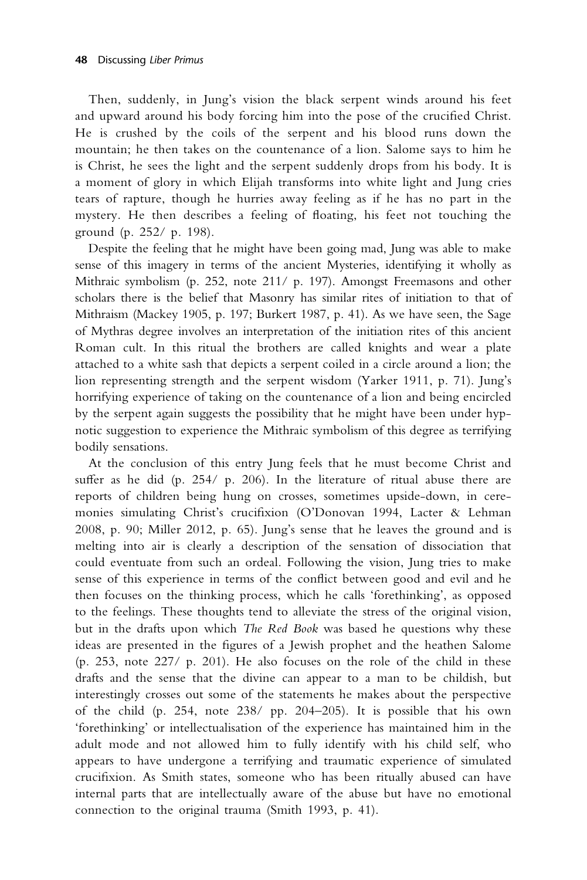Then, suddenly, in Jung's vision the black serpent winds around his feet and upward around his body forcing him into the pose of the crucified Christ. He is crushed by the coils of the serpent and his blood runs down the mountain; he then takes on the countenance of a lion. Salome says to him he is Christ, he sees the light and the serpent suddenly drops from his body. It is a moment of glory in which Elijah transforms into white light and Jung cries tears of rapture, though he hurries away feeling as if he has no part in the mystery. He then describes a feeling of floating, his feet not touching the ground (p. 252/ p. 198).

Despite the feeling that he might have been going mad, Jung was able to make sense of this imagery in terms of the ancient Mysteries, identifying it wholly as Mithraic symbolism (p. 252, note 211/ p. 197). Amongst Freemasons and other scholars there is the belief that Masonry has similar rites of initiation to that of Mithraism (Mackey 1905, p. 197; Burkert 1987, p. 41). As we have seen, the Sage of Mythras degree involves an interpretation of the initiation rites of this ancient Roman cult. In this ritual the brothers are called knights and wear a plate attached to a white sash that depicts a serpent coiled in a circle around a lion; the lion representing strength and the serpent wisdom (Yarker 1911, p. 71). Jung's horrifying experience of taking on the countenance of a lion and being encircled by the serpent again suggests the possibility that he might have been under hypnotic suggestion to experience the Mithraic symbolism of this degree as terrifying bodily sensations.

At the conclusion of this entry Jung feels that he must become Christ and suffer as he did (p.  $254/$  p.  $206$ ). In the literature of ritual abuse there are reports of children being hung on crosses, sometimes upside-down, in ceremonies simulating Christ's crucifixion (O'Donovan 1994, Lacter & Lehman 2008, p. 90; Miller 2012, p. 65). Jung's sense that he leaves the ground and is melting into air is clearly a description of the sensation of dissociation that could eventuate from such an ordeal. Following the vision, Jung tries to make sense of this experience in terms of the conflict between good and evil and he then focuses on the thinking process, which he calls 'forethinking', as opposed to the feelings. These thoughts tend to alleviate the stress of the original vision, but in the drafts upon which The Red Book was based he questions why these ideas are presented in the figures of a Jewish prophet and the heathen Salome (p. 253, note 227/ p. 201). He also focuses on the role of the child in these drafts and the sense that the divine can appear to a man to be childish, but interestingly crosses out some of the statements he makes about the perspective of the child (p. 254, note 238/ pp. 204–205). It is possible that his own 'forethinking' or intellectualisation of the experience has maintained him in the adult mode and not allowed him to fully identify with his child self, who appears to have undergone a terrifying and traumatic experience of simulated crucifixion. As Smith states, someone who has been ritually abused can have internal parts that are intellectually aware of the abuse but have no emotional connection to the original trauma (Smith 1993, p. 41).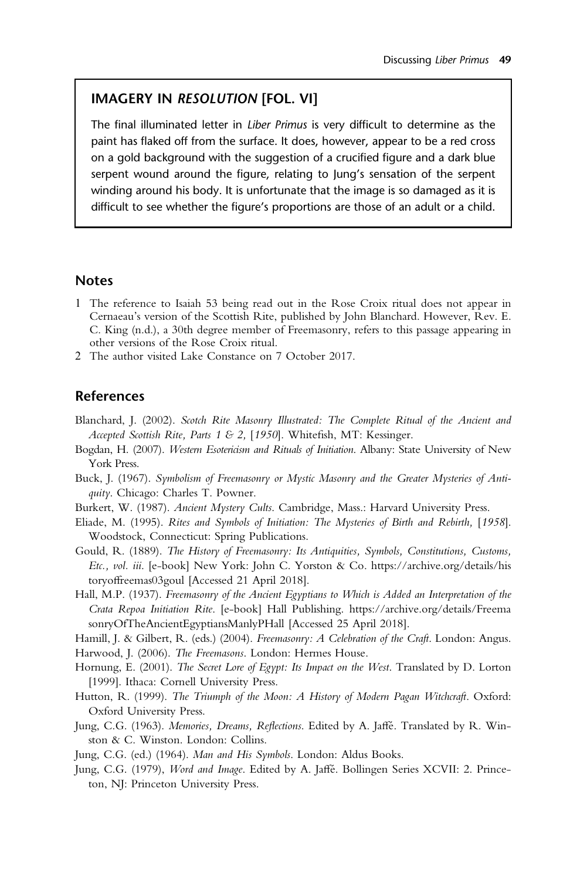#### IMAGERY IN RESOLUTION [FOL. VI]

The final illuminated letter in Liber Primus is very difficult to determine as the paint has flaked off from the surface. It does, however, appear to be a red cross on a gold background with the suggestion of a crucified figure and a dark blue serpent wound around the figure, relating to Jung's sensation of the serpent winding around his body. It is unfortunate that the image is so damaged as it is difficult to see whether the figure's proportions are those of an adult or a child.

#### **Notes**

- 1 The reference to Isaiah 53 being read out in the Rose Croix ritual does not appear in Cernaeau's version of the Scottish Rite, published by John Blanchard. However, Rev. E. C. King (n.d.), a 30th degree member of Freemasonry, refers to this passage appearing in other versions of the Rose Croix ritual.
- 2 The author visited Lake Constance on 7 October 2017.

#### References

- Blanchard, J. (2002). Scotch Rite Masonry Illustrated: The Complete Ritual of the Ancient and Accepted Scottish Rite, Parts 1 & 2, [1950]. Whitefish, MT: Kessinger.
- Bogdan, H. (2007). Western Esotericism and Rituals of Initiation. Albany: State University of New York Press.
- Buck, J. (1967). Symbolism of Freemasonry or Mystic Masonry and the Greater Mysteries of Antiquity. Chicago: Charles T. Powner.
- Burkert, W. (1987). Ancient Mystery Cults. Cambridge, Mass.: Harvard University Press.
- Eliade, M. (1995). Rites and Symbols of Initiation: The Mysteries of Birth and Rebirth, [1958]. Woodstock, Connecticut: Spring Publications.
- Gould, R. (1889). The History of Freemasonry: Its Antiquities, Symbols, Constitutions, Customs, Etc., vol. iii. [e-book] New York: John C. Yorston & Co. https://archive.org/details/his toryoffreemas03goul [Accessed 21 April 2018].
- Hall, M.P. (1937). Freemasonry of the Ancient Egyptians to Which is Added an Interpretation of the Crata Repoa Initiation Rite. [e-book] Hall Publishing. https://archive.org/details/Freema sonryOfTheAncientEgyptiansManlyPHall [Accessed 25 April 2018].
- Hamill, J. & Gilbert, R. (eds.) (2004). Freemasonry: A Celebration of the Craft. London: Angus.
- Harwood, J. (2006). The Freemasons. London: Hermes House.
- Hornung, E. (2001). The Secret Lore of Egypt: Its Impact on the West. Translated by D. Lorton [1999]. Ithaca: Cornell University Press.
- Hutton, R. (1999). The Triumph of the Moon: A History of Modern Pagan Witchcraft. Oxford: Oxford University Press.
- Jung, C.G. (1963). Memories, Dreams, Reflections. Edited by A. Jaffé. Translated by R. Winston & C. Winston. London: Collins.
- Jung, C.G. (ed.) (1964). Man and His Symbols. London: Aldus Books.
- Jung, C.G. (1979), Word and Image. Edited by A. Jaffé. Bollingen Series XCVII: 2. Princeton, NJ: Princeton University Press.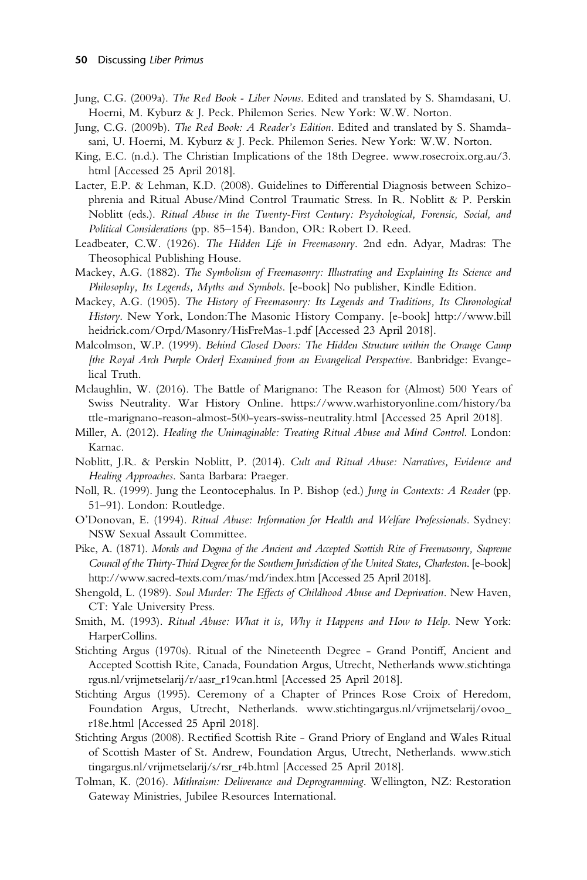- Jung, C.G. (2009a). The Red Book Liber Novus. Edited and translated by S. Shamdasani, U. Hoerni, M. Kyburz & J. Peck. Philemon Series. New York: W.W. Norton.
- Jung, C.G. (2009b). The Red Book: A Reader's Edition. Edited and translated by S. Shamdasani, U. Hoerni, M. Kyburz & J. Peck. Philemon Series. New York: W.W. Norton.
- King, E.C. (n.d.). The Christian Implications of the 18th Degree. www.rosecroix.org.au/3. html [Accessed 25 April 2018].
- Lacter, E.P. & Lehman, K.D. (2008). Guidelines to Differential Diagnosis between Schizophrenia and Ritual Abuse/Mind Control Traumatic Stress. In R. Noblitt & P. Perskin Noblitt (eds.). Ritual Abuse in the Twenty-First Century: Psychological, Forensic, Social, and Political Considerations (pp. 85–154). Bandon, OR: Robert D. Reed.
- Leadbeater, C.W. (1926). The Hidden Life in Freemasonry. 2nd edn. Adyar, Madras: The Theosophical Publishing House.
- Mackey, A.G. (1882). The Symbolism of Freemasonry: Illustrating and Explaining Its Science and Philosophy, Its Legends, Myths and Symbols. [e-book] No publisher, Kindle Edition.
- Mackey, A.G. (1905). The History of Freemasonry: Its Legends and Traditions, Its Chronological History. New York, London:The Masonic History Company. [e-book] http://www.bill heidrick.com/Orpd/Masonry/HisFreMas-1.pdf [Accessed 23 April 2018].
- Malcolmson, W.P. (1999). Behind Closed Doors: The Hidden Structure within the Orange Camp [the Royal Arch Purple Order] Examined from an Evangelical Perspective. Banbridge: Evangelical Truth.
- Mclaughlin, W. (2016). The Battle of Marignano: The Reason for (Almost) 500 Years of Swiss Neutrality. War History Online. https://www.warhistoryonline.com/history/ba ttle-marignano-reason-almost-500-years-swiss-neutrality.html [Accessed 25 April 2018].
- Miller, A. (2012). Healing the Unimaginable: Treating Ritual Abuse and Mind Control. London: Karnac.
- Noblitt, J.R. & Perskin Noblitt, P. (2014). Cult and Ritual Abuse: Narratives, Evidence and Healing Approaches. Santa Barbara: Praeger.
- Noll, R. (1999). Jung the Leontocephalus. In P. Bishop (ed.) Jung in Contexts: A Reader (pp. 51–91). London: Routledge.
- O'Donovan, E. (1994). Ritual Abuse: Information for Health and Welfare Professionals. Sydney: NSW Sexual Assault Committee.
- Pike, A. (1871). Morals and Dogma of the Ancient and Accepted Scottish Rite of Freemasonry, Supreme Council of the Thirty-Third Degree for the Southern Jurisdiction of the United States, Charleston. [e-book] http://www.sacred-texts.com/mas/md/index.htm [Accessed 25 April 2018].
- Shengold, L. (1989). Soul Murder: The Effects of Childhood Abuse and Deprivation. New Haven, CT: Yale University Press.
- Smith, M. (1993). Ritual Abuse: What it is, Why it Happens and How to Help. New York: HarperCollins.
- Stichting Argus (1970s). Ritual of the Nineteenth Degree Grand Pontiff, Ancient and Accepted Scottish Rite, Canada, Foundation Argus, Utrecht, Netherlands www.stichtinga rgus.nl/vrijmetselarij/r/aasr\_r19can.html [Accessed 25 April 2018].
- Stichting Argus (1995). Ceremony of a Chapter of Princes Rose Croix of Heredom, Foundation Argus, Utrecht, Netherlands. www.stichtingargus.nl/vrijmetselarij/ovoo\_ r18e.html [Accessed 25 April 2018].
- Stichting Argus (2008). Rectified Scottish Rite Grand Priory of England and Wales Ritual of Scottish Master of St. Andrew, Foundation Argus, Utrecht, Netherlands. www.stich tingargus.nl/vrijmetselarij/s/rsr\_r4b.html [Accessed 25 April 2018].
- Tolman, K. (2016). Mithraism: Deliverance and Deprogramming. Wellington, NZ: Restoration Gateway Ministries, Jubilee Resources International.